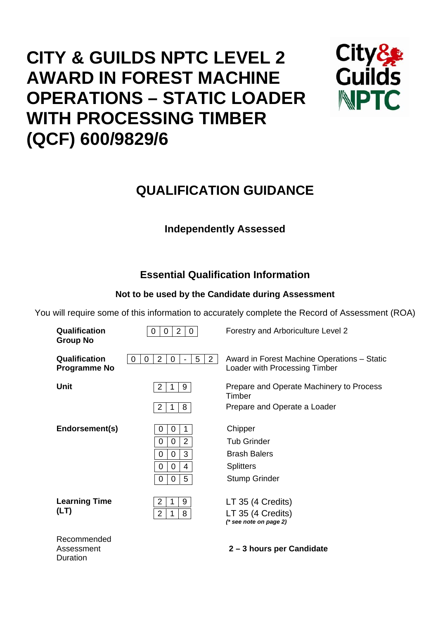# **CITY & GUILDS NPTC LEVEL 2 AWARD IN FOREST MACHINE OPERATIONS – STATIC LOADER WITH PROCESSING TIMBER (QCF) 600/9829/6**



## **QUALIFICATION GUIDANCE**

## **Independently Assessed**

## **Essential Qualification Information**

## **Not to be used by the Candidate during Assessment**

You will require some of this information to accurately complete the Record of Assessment (ROA)

| Qualification<br><b>Group No</b>     | 2<br>$\mathbf 0$<br>$\mathbf 0$<br>0                                                       | Forestry and Arboriculture Level 2                                           |
|--------------------------------------|--------------------------------------------------------------------------------------------|------------------------------------------------------------------------------|
| Qualification<br><b>Programme No</b> | $\overline{2}$<br>5<br>$\overline{2}$<br>$\mathbf 0$<br>0<br>0<br>$\overline{\phantom{a}}$ | Award in Forest Machine Operations - Static<br>Loader with Processing Timber |
| Unit                                 | $\overline{2}$<br>9<br>1                                                                   | Prepare and Operate Machinery to Process<br>Timber                           |
|                                      | 8<br>2<br>1                                                                                | Prepare and Operate a Loader                                                 |
| Endorsement(s)                       | 0<br>1<br>0                                                                                | Chipper                                                                      |
|                                      | $\overline{2}$<br>0<br>0                                                                   | <b>Tub Grinder</b>                                                           |
|                                      | 3<br>0<br>0                                                                                | <b>Brash Balers</b>                                                          |
|                                      | 0<br>0<br>4                                                                                | <b>Splitters</b>                                                             |
|                                      | 5<br>0<br>0                                                                                | <b>Stump Grinder</b>                                                         |
| <b>Learning Time</b>                 | 9<br>2<br>1                                                                                | LT 35 (4 Credits)                                                            |
| (LT)                                 | 8<br>$\overline{2}$<br>1                                                                   | LT 35 (4 Credits)<br>$(*$ see note on page 2)                                |
| Recommended<br>Assessment            |                                                                                            | 2-3 hours per Candidate                                                      |

Duration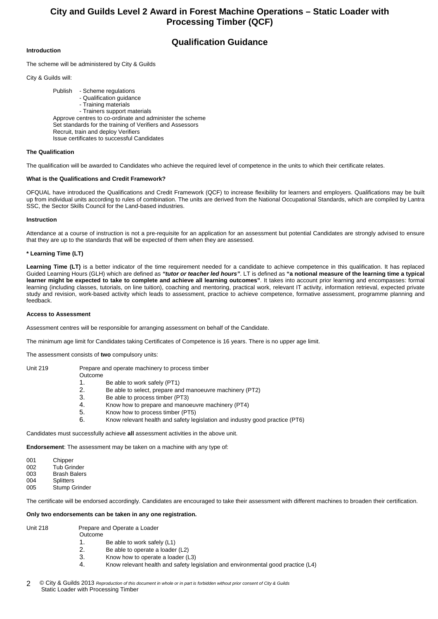### **Qualification Guidance**

#### **Introduction**

The scheme will be administered by City & Guilds

City & Guilds will:

 Publish - Scheme regulations - Qualification guidance - Training materials - Trainers support materials Approve centres to co-ordinate and administer the scheme Set standards for the training of Verifiers and Assessors Recruit, train and deploy Verifiers Issue certificates to successful Candidates

#### **The Qualification**

The qualification will be awarded to Candidates who achieve the required level of competence in the units to which their certificate relates.

#### **What is the Qualifications and Credit Framework?**

OFQUAL have introduced the Qualifications and Credit Framework (QCF) to increase flexibility for learners and employers. Qualifications may be built up from individual units according to rules of combination. The units are derived from the National Occupational Standards, which are compiled by Lantra SSC, the Sector Skills Council for the Land-based industries.

#### **Instruction**

Attendance at a course of instruction is not a pre-requisite for an application for an assessment but potential Candidates are strongly advised to ensure that they are up to the standards that will be expected of them when they are assessed.

#### **\* Learning Time (LT)**

Learning Time (LT) is a better indicator of the time requirement needed for a candidate to achieve competence in this qualification. It has replaced Guided Learning Hours (GLH) which are defined as *"tutor or teacher led hours"*. LT is defined as **"a notional measure of the learning time a typical learner might be expected to take to complete and achieve all learning outcomes"**. It takes into account prior learning and encompasses: formal learning (including classes, tutorials, on line tuition), coaching and mentoring, practical work, relevant IT activity, information retrieval, expected private study and revision, work-based activity which leads to assessment, practice to achieve competence, formative assessment, programme planning and feedback.

#### **Access to Assessment**

Assessment centres will be responsible for arranging assessment on behalf of the Candidate.

The minimum age limit for Candidates taking Certificates of Competence is 16 years. There is no upper age limit.

The assessment consists of **two** compulsory units:

Unit 219 Prepare and operate machinery to process timber

#### Outcome

- 1. Be able to work safely (PT1)<br>2. Be able to select, prepare and
- Be able to select, prepare and manoeuvre machinery (PT2)
- 3. Be able to process timber (PT3)
- 4. Know how to prepare and manoeuvre machinery (PT4)
- 5. Know how to process timber (PT5)
- 6. Know relevant health and safety legislation and industry good practice (PT6)

Candidates must successfully achieve **all** assessment activities in the above unit.

**Endorsement**: The assessment may be taken on a machine with any type of:

| 001 | Chipper |
|-----|---------|
|     |         |

- 002 Tub Grinder 003 Brash Balers
- 004 Splitters
- 005 Stump Grinder

The certificate will be endorsed accordingly. Candidates are encouraged to take their assessment with different machines to broaden their certification.

#### **Only two endorsements can be taken in any one registration.**

Unit 218 Prepare and Operate a Loader **Outcome** 

- 1. Be able to work safely (L1)
- 2. Be able to operate a loader (L2)
- 3. Know how to operate a loader (L3)
- 4. Know relevant health and safety legislation and environmental good practice (L4)
- © City & Guilds 2013 *Reproduction of this document in whole or in part is forbidden without prior consent of City & Guilds*  Static Loader with Processing Timber 2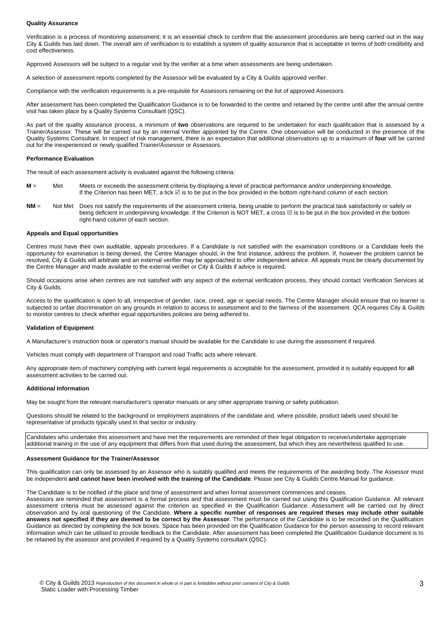#### **Quality Assurance**

Verification is a process of monitoring assessment; it is an essential check to confirm that the assessment procedures are being carried out in the way City & Guilds has laid down. The overall aim of verification is to establish a system of quality assurance that is acceptable in terms of both credibility and cost effectiveness.

Approved Assessors will be subject to a regular visit by the verifier at a time when assessments are being undertaken.

A selection of assessment reports completed by the Assessor will be evaluated by a City & Guilds approved verifier.

Compliance with the verification requirements is a pre-requisite for Assessors remaining on the list of approved Assessors.

After assessment has been completed the Qualification Guidance is to be forwarded to the centre and retained by the centre until after the annual centre visit has taken place by a Quality Systems Consultant (QSC).

As part of the quality assurance process, a minimum of **two** observations are required to be undertaken for each qualification that is assessed by a Trainer/Assessor. These will be carried out by an internal Verifier appointed by the Centre. One observation will be conducted in the presence of the Quality Systems Consultant. In respect of risk management, there is an expectation that additional observations up to a maximum of **four** will be carried out for the inexperienced or newly qualified Trainer/Assessor or Assessors.

#### **Performance Evaluation**

The result of each assessment activity is evaluated against the following criteria:

- **M** = Met Meets or exceeds the assessment criteria by displaying a level of practical performance and/or underpinning knowledge. If the Criterion has been MET, a tick ⊠ is to be put in the box provided in the bottom right-hand column of each section.
- **NM** = Not Met Does not satisfy the requirements of the assessment criteria, being unable to perform the practical task satisfactorily or safely or being deficient in underpinning knowledge. If the Criterion is NOT MET, a cross  $\boxtimes$  is to be put in the box provided in the bottom right-hand column of each section.

#### **Appeals and Equal opportunities**

Centres must have their own auditable, appeals procedures. If a Candidate is not satisfied with the examination conditions or a Candidate feels the opportunity for examination is being denied, the Centre Manager should, in the first instance, address the problem. If, however the problem cannot be resolved, City & Guilds will arbitrate and an external verifier may be approached to offer independent advice. All appeals must be clearly documented by the Centre Manager and made available to the external verifier or City & Guilds if advice is required.

Should occasions arise when centres are not satisfied with any aspect of the external verification process, they should contact Verification Services at City & Guilds.

Access to the qualification is open to all, irrespective of gender, race, creed, age or special needs. The Centre Manager should ensure that no learner is subjected to unfair discrimination on any grounds in relation to access to assessment and to the fairness of the assessment. QCA requires City & Guilds to monitor centres to check whether equal opportunities policies are being adhered to.

#### **Validation of Equipment**

A Manufacturer's instruction book or operator's manual should be available for the Candidate to use during the assessment if required.

Vehicles must comply with department of Transport and road Traffic acts where relevant.

Any appropriate item of machinery complying with current legal requirements is acceptable for the assessment, provided it is suitably equipped for **all** assessment activities to be carried out.

#### **Additional Information**

May be sought from the relevant manufacturer's operator manuals or any other appropriate training or safety publication.

Questions should be related to the background or employment aspirations of the candidate and, where possible, product labels used should be representative of products typically used in that sector or industry.

Candidates who undertake this assessment and have met the requirements are reminded of their legal obligation to receive/undertake appropriate additional training in the use of any equipment that differs from that used during the assessment, but which they are nevertheless qualified to use.

#### **Assessment Guidance for the Trainer/Assessor**

This qualification can only be assessed by an Assessor who is suitably qualified and meets the requirements of the awarding body. The Assessor must be independent **and cannot have been involved with the training of the Candidate**. Please see City & Guilds Centre Manual for guidance.

The Candidate is to be notified of the place and time of assessment and when formal assessment commences and ceases.

Assessors are reminded that assessment is a formal process and that assessment must be carried out using this Qualification Guidance. All relevant assessment criteria must be assessed against the criterion as specified in the Qualification Guidance. Assessment will be carried out by direct observation and by oral questioning of the Candidate. **Where a specific number of responses are required theses may include other suitable answers not specified if they are deemed to be correct by the Assessor**. The performance of the Candidate is to be recorded on the Qualification Guidance as directed by completing the tick boxes. Space has been provided on the Qualification Guidance for the person assessing to record relevant information which can be utilised to provide feedback to the Candidate. After assessment has been completed the Qualification Guidance document is to be retained by the assessor and provided if required by a Quality Systems consultant (QSC).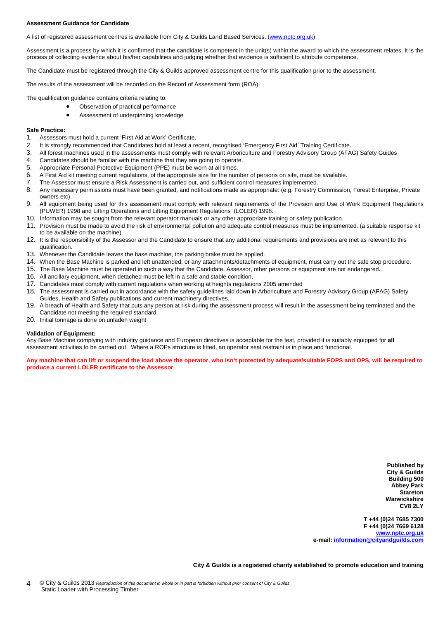#### **Assessment Guidance for Candidate**

A list of registered assessment centres is available from City & Guilds Land Based Services. ([www.nptc.org.uk\)](http://www.nptc.org.uk/)

Assessment is a process by which it is confirmed that the candidate is competent in the unit(s) within the award to which the assessment relates. It is the process of collecting evidence about his/her capabilities and judging whether that evidence is sufficient to attribute competence.

The Candidate must be registered through the City & Guilds approved assessment centre for this qualification prior to the assessment.

The results of the assessment will be recorded on the Record of Assessment form (ROA).

The qualification guidance contains criteria relating to:

- Observation of practical performance
	- Assessment of underpinning knowledge

#### **Safe Practice:**

- 1. Assessors must hold a current 'First Aid at Work' Certificate.
- 2. It is strongly recommended that Candidates hold at least a recent, recognised 'Emergency First Aid' Training Certificate.
- 3. All forest machines used in the assessments must comply with relevant Arboriculture and Forestry Advisory Group (AFAG) Safety Guides
- 4. Candidates should be familiar with the machine that they are going to operate.
- 5. Appropriate Personal Protective Equipment (PPE) must be worn at all times.
- 6. A First Aid kit meeting current regulations, of the appropriate size for the number of persons on site, must be available.
- 7. The Assessor must ensure a Risk Assessment is carried out, and sufficient control measures implemented.<br>8. Any necessary permissions must have been granted, and notifications made as appropriate: (e.g. Forestry (
- 8. Any necessary permissions must have been granted, and notifications made as appropriate: (e.g. Forestry Commission, Forest Enterprise, Private owners etc).
- 9. All equipment being used for this assessment must comply with relevant requirements of the Provision and Use of Work Equipment Regulations (PUWER) 1998 and Lifting Operations and Lifting Equipment Regulations (LOLER) 1998.
- 10. Information may be sought from the relevant operator manuals or any other appropriate training or safety publication.
- 11. Provision must be made to avoid the risk of environmental pollution and adequate control measures must be implemented. (a suitable response kit to be available on the machine)
- 12. It is the responsibility of the Assessor and the Candidate to ensure that any additional requirements and provisions are met as relevant to this qualification.
- 13. Whenever the Candidate leaves the base machine, the parking brake must be applied.
- 14. When the Base Machine is parked and left unattended, or any attachments/detachments of equipment, must carry out the safe stop procedure.
- 15. The Base Machine must be operated in such a way that the Candidate, Assessor, other persons or equipment are not endangered.
- 16. All ancillary equipment, when detached must be left in a safe and stable condition.
- 17. Candidates must comply with current regulations when working at heights regulations 2005 amended
- 18. The assessment is carried out in accordance with the safety guidelines laid down in Arboriculture and Forestry Advisory Group (AFAG) Safety Guides, Health and Safety publications and current machinery directives.
- 19. A breach of Health and Safety that puts any person at risk during the assessment process will result in the assessment being terminated and the Candidate not meeting the required standard
- 20. Initial tonnage is done on unladen weight

#### **Validation of Equipment:**

Any Base Machine complying with industry guidance and European directives is acceptable for the test, provided it is suitably equipped for **all** assessment activities to be carried out. Where a ROPs structure is fitted, an operator seat restraint is in place and functional.

**Any machine that can lift or suspend the load above the operator, who isn't protected by adequate/suitable FOPS and OPS, will be required to produce a current LOLER certificate to the Assessor** 

> **Published by City & Guilds Building 500 Abbey Park Stareton Warwickshire CV8 2LY**

**T +44 (0)24 7685 7300 F +44 (0)24 7669 6128 [www.nptc.org.uk](http://www.nptc.org.uk/) e-mail: [information@cityandguilds.com](mailto:information@cityandguilds.com)**

**City & Guilds is a registered charity established to promote education and training**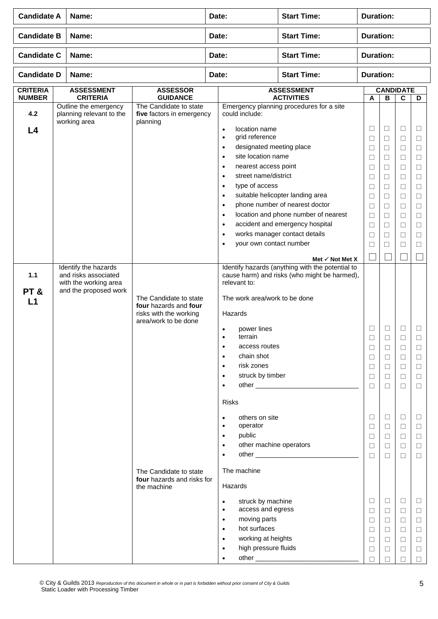| <b>Candidate A</b>               | Name:                                                                                                             |                                                                                                   | Date:                                                                                                                                                                           |                                                                                                                                                                                | <b>Start Time:</b>                                                                                                                                                                                                                                                                                                                                           | <b>Duration:</b>                                                                                                          |                                                                                                                 |                                                                                                                      |                                                                                                                           |
|----------------------------------|-------------------------------------------------------------------------------------------------------------------|---------------------------------------------------------------------------------------------------|---------------------------------------------------------------------------------------------------------------------------------------------------------------------------------|--------------------------------------------------------------------------------------------------------------------------------------------------------------------------------|--------------------------------------------------------------------------------------------------------------------------------------------------------------------------------------------------------------------------------------------------------------------------------------------------------------------------------------------------------------|---------------------------------------------------------------------------------------------------------------------------|-----------------------------------------------------------------------------------------------------------------|----------------------------------------------------------------------------------------------------------------------|---------------------------------------------------------------------------------------------------------------------------|
| <b>Candidate B</b>               | Name:                                                                                                             |                                                                                                   | Date:                                                                                                                                                                           |                                                                                                                                                                                | <b>Start Time:</b>                                                                                                                                                                                                                                                                                                                                           | <b>Duration:</b>                                                                                                          |                                                                                                                 |                                                                                                                      |                                                                                                                           |
| <b>Candidate C</b>               | Name:                                                                                                             |                                                                                                   | Date:                                                                                                                                                                           |                                                                                                                                                                                | <b>Start Time:</b>                                                                                                                                                                                                                                                                                                                                           | <b>Duration:</b>                                                                                                          |                                                                                                                 |                                                                                                                      |                                                                                                                           |
| <b>Candidate D</b>               | Name:                                                                                                             |                                                                                                   | Date:                                                                                                                                                                           |                                                                                                                                                                                | <b>Start Time:</b>                                                                                                                                                                                                                                                                                                                                           | <b>Duration:</b>                                                                                                          |                                                                                                                 |                                                                                                                      |                                                                                                                           |
| <b>CRITERIA</b><br><b>NUMBER</b> | <b>ASSESSMENT</b><br><b>CRITERIA</b>                                                                              | <b>ASSESSOR</b><br><b>GUIDANCE</b>                                                                |                                                                                                                                                                                 |                                                                                                                                                                                | <b>ASSESSMENT</b><br><b>ACTIVITIES</b>                                                                                                                                                                                                                                                                                                                       | A                                                                                                                         | $\overline{\mathbf{B}}$                                                                                         | <b>CANDIDATE</b><br>$\overline{c}$                                                                                   | D                                                                                                                         |
| 4.2<br>L4<br>1.1                 | Outline the emergency<br>planning relevant to the<br>working area<br>Identify the hazards<br>and risks associated | The Candidate to state<br>five factors in emergency<br>planning                                   | could include:<br>$\bullet$<br>$\bullet$<br>$\bullet$<br>$\bullet$<br>$\bullet$<br>$\bullet$<br>$\bullet$<br>$\bullet$<br>$\bullet$<br>$\bullet$<br>$\bullet$<br>$\bullet$<br>٠ | location name<br>grid reference<br>designated meeting place<br>site location name<br>nearest access point<br>street name/district<br>type of access<br>your own contact number | Emergency planning procedures for a site<br>suitable helicopter landing area<br>phone number of nearest doctor<br>location and phone number of nearest<br>accident and emergency hospital<br>works manager contact details<br>Met $\checkmark$ Not Met X<br>Identify hazards (anything with the potential to<br>cause harm) and risks (who might be harmed), | ⊔<br>$\Box$<br>$\Box$<br>$\Box$<br>$\Box$<br>$\Box$<br>$\Box$<br>$\Box$<br>$\Box$<br>$\Box$<br>$\Box$<br>$\Box$<br>$\Box$ | Ш<br>$\Box$<br>$\Box$<br>□<br>$\Box$<br>$\Box$<br>$\Box$<br>$\Box$<br>□<br>$\Box$<br>$\Box$<br>$\Box$<br>$\Box$ | $\Box$<br>$\Box$<br>$\Box$<br>□<br>$\Box$<br>$\Box$<br>$\Box$<br>$\Box$<br>□<br>$\Box$<br>$\Box$<br>$\Box$<br>$\Box$ | $\Box$<br>$\Box$<br>$\Box$<br>□<br>$\Box$<br>$\Box$<br>$\Box$<br>$\Box$<br>$\Box$<br>$\Box$<br>$\Box$<br>$\Box$<br>$\Box$ |
| PT&<br>L1                        | with the working area<br>and the proposed work                                                                    | The Candidate to state<br>four hazards and four<br>risks with the working<br>area/work to be done | relevant to:<br>Hazards<br>$\bullet$<br>٠<br>٠<br>$\bullet$<br>$\bullet$<br>$\bullet$<br>$\bullet$<br><b>Risks</b><br>$\bullet$<br>$\bullet$<br>$\bullet$                       | power lines<br>terrain<br>access routes<br>chain shot<br>risk zones<br>struck by timber<br>others on site<br>operator<br>public                                                | The work area/work to be done                                                                                                                                                                                                                                                                                                                                | $\Box$<br>⊔<br>$\Box$<br>$\Box$<br>⊔<br>$\Box$<br>$\Box$<br>□<br>⊔<br>$\Box$                                              | $\Box$<br>⊔<br>$\Box$<br>$\Box$<br>⊔<br>$\Box$<br>$\Box$<br>⊔<br>⊔                                              | □<br>⊔<br>$\Box$<br>$\Box$<br>$\Box$<br>$\Box$<br>$\Box$<br>⊔<br>⊔                                                   | □<br>⊔<br>□<br>$\Box$<br>$\Box$<br>$\Box$<br>$\Box$<br>$\Box$<br>□                                                        |
|                                  |                                                                                                                   | The Candidate to state<br>four hazards and risks for<br>the machine                               | $\bullet$<br>The machine<br>Hazards<br>$\bullet$<br>$\bullet$<br>$\bullet$<br>$\bullet$<br>$\bullet$<br>$\bullet$<br>$\bullet$                                                  | other machine operators<br>struck by machine<br>access and egress<br>moving parts<br>hot surfaces<br>working at heights<br>high pressure fluids                                |                                                                                                                                                                                                                                                                                                                                                              | ⊔<br>$\Box$<br>□<br>□<br>$\Box$<br>□<br>$\Box$<br>□<br>П                                                                  | $\Box$<br>$\Box$<br>$\Box$<br>⊔<br>$\Box$<br>$\Box$<br>$\Box$<br>$\Box$<br>⊔<br>П                               | $\Box$<br>$\Box$<br>$\Box$<br>⊔<br>$\Box$<br>$\Box$<br>$\Box$<br>$\Box$<br>⊔<br>П                                    | $\Box$<br>$\Box$<br>$\Box$<br>$\Box$<br>$\Box$<br>$\Box$<br>$\Box$<br>$\Box$<br>□<br>□                                    |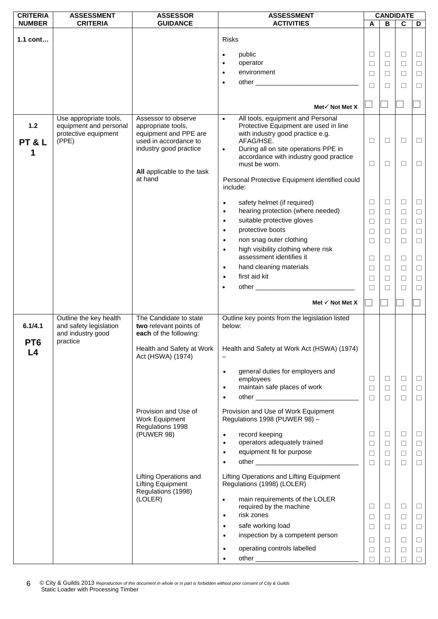| <b>CRITERIA</b>                  | <b>ASSESSMENT</b>                                                                 | <b>ASSESSOR</b>                                                                                                              | <b>ASSESSMENT</b>                                                                                                                                                                                                                                        | <b>CANDIDATE</b>                |                                                |                                                |                                                |
|----------------------------------|-----------------------------------------------------------------------------------|------------------------------------------------------------------------------------------------------------------------------|----------------------------------------------------------------------------------------------------------------------------------------------------------------------------------------------------------------------------------------------------------|---------------------------------|------------------------------------------------|------------------------------------------------|------------------------------------------------|
| <b>NUMBER</b>                    | <b>CRITERIA</b>                                                                   | <b>GUIDANCE</b>                                                                                                              | <b>ACTIVITIES</b>                                                                                                                                                                                                                                        | A                               | в                                              | C                                              | D                                              |
| 1.1 cont                         |                                                                                   |                                                                                                                              | <b>Risks</b>                                                                                                                                                                                                                                             |                                 |                                                |                                                |                                                |
|                                  |                                                                                   |                                                                                                                              |                                                                                                                                                                                                                                                          | ⊔                               | $\Box$                                         | $\Box$                                         | $\Box$                                         |
|                                  |                                                                                   |                                                                                                                              | public<br>operator<br>$\bullet$                                                                                                                                                                                                                          | $\Box$                          | $\Box$                                         | $\Box$                                         |                                                |
|                                  |                                                                                   |                                                                                                                              | environment                                                                                                                                                                                                                                              |                                 |                                                |                                                | $\Box$                                         |
|                                  |                                                                                   |                                                                                                                              | $\bullet$                                                                                                                                                                                                                                                | П                               | $\Box$                                         | $\Box$                                         | $\Box$                                         |
|                                  |                                                                                   |                                                                                                                              |                                                                                                                                                                                                                                                          | $\Box$                          | $\Box$                                         | $\Box$                                         | $\Box$                                         |
|                                  |                                                                                   |                                                                                                                              |                                                                                                                                                                                                                                                          |                                 |                                                |                                                |                                                |
|                                  |                                                                                   |                                                                                                                              | Met√ Not Met X                                                                                                                                                                                                                                           |                                 |                                                |                                                |                                                |
| $1.2$<br>PT&L                    | Use appropriate tools,<br>equipment and personal<br>protective equipment<br>(PPE) | Assessor to observe<br>appropriate tools,<br>equipment and PPE are<br>used in accordance to<br>industry good practice        | All tools, equipment and Personal<br>$\bullet$<br>Protective Equipment are used in line<br>with industry good practice e.g.<br>AFAG/HSE.<br>During all on site operations PPE in<br>$\bullet$<br>accordance with industry good practice<br>must be worn. | □<br>$\Box$                     | $\Box$<br>$\Box$                               | $\Box$<br>$\Box$                               | $\Box$<br>$\Box$                               |
|                                  |                                                                                   | All applicable to the task<br>at hand                                                                                        | Personal Protective Equipment identified could<br>include:                                                                                                                                                                                               |                                 |                                                |                                                |                                                |
|                                  |                                                                                   |                                                                                                                              | safety helmet (if required)<br>$\bullet$<br>hearing protection (where needed)<br>$\bullet$<br>suitable protective gloves<br>$\bullet$<br>protective boots<br>$\bullet$<br>non snag outer clothing<br>$\bullet$<br>high visibility clothing where risk    | □<br>$\Box$<br>П<br>$\Box$<br>П | $\Box$<br>$\Box$<br>$\Box$<br>$\Box$<br>$\Box$ | $\Box$<br>$\Box$<br>$\Box$<br>$\Box$<br>$\Box$ | $\Box$<br>$\Box$<br>$\Box$<br>$\Box$<br>$\Box$ |
|                                  |                                                                                   |                                                                                                                              | $\bullet$<br>assessment identifies it                                                                                                                                                                                                                    |                                 |                                                |                                                |                                                |
|                                  |                                                                                   |                                                                                                                              |                                                                                                                                                                                                                                                          | ⊔                               | □                                              | $\Box$                                         | $\Box$                                         |
|                                  |                                                                                   |                                                                                                                              | hand cleaning materials                                                                                                                                                                                                                                  | Ш                               | □                                              | □                                              | $\Box$                                         |
|                                  |                                                                                   |                                                                                                                              | first aid kit<br>$\bullet$                                                                                                                                                                                                                               | □                               | $\Box$                                         | □                                              | $\Box$                                         |
|                                  |                                                                                   |                                                                                                                              | ٠                                                                                                                                                                                                                                                        | П                               | $\Box$                                         | $\Box$                                         | $\Box$                                         |
|                                  |                                                                                   |                                                                                                                              | Met $\checkmark$ Not Met X                                                                                                                                                                                                                               |                                 |                                                |                                                |                                                |
| 6.1/4.1<br>PT <sub>6</sub><br>_4 | Outline the key health<br>and safety legislation<br>and industry good<br>practice | The Candidate to state<br>two relevant points of<br>each of the following:<br>Health and Safety at Work<br>Act (HSWA) (1974) | Outline key points from the legislation listed<br>below:<br>Health and Safety at Work Act (HSWA) (1974)                                                                                                                                                  |                                 |                                                |                                                |                                                |
|                                  |                                                                                   |                                                                                                                              | general duties for employers and<br>$\bullet$<br>employees<br>maintain safe places of work<br>$\bullet$<br>$\bullet$                                                                                                                                     | □<br>П<br>$\Box$                | $\Box$<br>$\Box$<br>$\Box$                     | $\Box$<br>$\Box$<br>$\Box$                     | $\Box$<br>$\Box$<br>$\Box$                     |
|                                  |                                                                                   | Provision and Use of<br>Work Equipment<br>Regulations 1998                                                                   | Provision and Use of Work Equipment<br>Regulations 1998 (PUWER 98) -                                                                                                                                                                                     |                                 |                                                |                                                |                                                |
|                                  |                                                                                   | (PUWER 98)                                                                                                                   | record keeping<br>$\bullet$                                                                                                                                                                                                                              | □                               | $\Box$                                         | $\Box$                                         | $\Box$                                         |
|                                  |                                                                                   |                                                                                                                              | operators adequately trained<br>$\bullet$                                                                                                                                                                                                                | □                               | $\Box$                                         | $\Box$                                         | $\Box$                                         |
|                                  |                                                                                   |                                                                                                                              | equipment fit for purpose<br>$\bullet$                                                                                                                                                                                                                   | ⊔                               | $\Box$                                         | $\Box$                                         | $\Box$                                         |
|                                  |                                                                                   |                                                                                                                              |                                                                                                                                                                                                                                                          | $\Box$                          | $\Box$                                         | $\Box$                                         | $\Box$                                         |
|                                  |                                                                                   | Lifting Operations and<br><b>Lifting Equipment</b><br>Regulations (1998)                                                     | Lifting Operations and Lifting Equipment<br>Regulations (1998) (LOLER)                                                                                                                                                                                   |                                 |                                                |                                                |                                                |
|                                  |                                                                                   | (LOLER)                                                                                                                      | main requirements of the LOLER<br>$\bullet$<br>required by the machine<br>risk zones<br>$\bullet$                                                                                                                                                        | □<br>⊔                          | $\Box$<br>□                                    | $\Box$<br>$\Box$                               | $\Box$<br>$\Box$                               |
|                                  |                                                                                   |                                                                                                                              | safe working load<br>$\bullet$                                                                                                                                                                                                                           | $\Box$                          | $\Box$                                         | $\Box$                                         | $\Box$                                         |
|                                  |                                                                                   |                                                                                                                              | inspection by a competent person<br>$\bullet$                                                                                                                                                                                                            | □                               | □                                              | $\Box$                                         | $\Box$                                         |
|                                  |                                                                                   |                                                                                                                              | operating controls labelled<br>$\bullet$                                                                                                                                                                                                                 | $\Box$                          | $\Box$                                         | $\Box$                                         | $\Box$                                         |
|                                  |                                                                                   |                                                                                                                              |                                                                                                                                                                                                                                                          |                                 |                                                |                                                |                                                |
|                                  |                                                                                   |                                                                                                                              |                                                                                                                                                                                                                                                          | П                               | $\Box$                                         | $\Box$                                         | $\Box$                                         |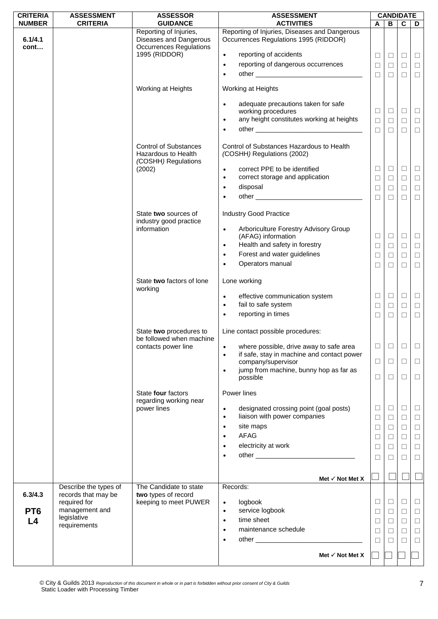| <b>CRITERIA</b>       | <b>ASSESSMENT</b>                            | <b>ASSESSOR</b>                                                                   | <b>ASSESSMENT</b>                                                                                               |                  |                  | <b>CANDIDATE</b> |                  |
|-----------------------|----------------------------------------------|-----------------------------------------------------------------------------------|-----------------------------------------------------------------------------------------------------------------|------------------|------------------|------------------|------------------|
| <b>NUMBER</b>         | <b>CRITERIA</b>                              | <b>GUIDANCE</b><br>Reporting of Injuries,                                         | <b>ACTIVITIES</b><br>Reporting of Injuries, Diseases and Dangerous                                              | A                | B                | C                | D                |
| 6.1/4.1<br>cont       |                                              | Diseases and Dangerous<br><b>Occurrences Regulations</b>                          | Occurrences Regulations 1995 (RIDDOR)                                                                           |                  |                  |                  |                  |
|                       |                                              | 1995 (RIDDOR)                                                                     | reporting of accidents<br>$\bullet$<br>reporting of dangerous occurrences<br>$\bullet$                          | $\Box$           | $\Box$           | $\Box$           | $\Box$           |
|                       |                                              |                                                                                   | $\bullet$                                                                                                       | $\Box$<br>$\Box$ | $\Box$<br>$\Box$ | $\Box$<br>$\Box$ | $\Box$<br>$\Box$ |
|                       |                                              | Working at Heights                                                                | Working at Heights                                                                                              |                  |                  |                  |                  |
|                       |                                              |                                                                                   | adequate precautions taken for safe<br>$\bullet$<br>working procedures                                          | $\Box$           | $\Box$           | $\Box$           | $\Box$           |
|                       |                                              |                                                                                   | any height constitutes working at heights<br>$\bullet$                                                          | $\Box$           | $\Box$           | $\Box$           | $\Box$           |
|                       |                                              |                                                                                   | $\bullet$                                                                                                       | $\Box$           | $\Box$           | $\Box$           | $\Box$           |
|                       |                                              | <b>Control of Substances</b><br><b>Hazardous to Health</b><br>(COSHH) Regulations | Control of Substances Hazardous to Health<br>(COSHH) Regulations (2002)                                         |                  |                  |                  |                  |
|                       |                                              | (2002)                                                                            | correct PPE to be identified<br>$\bullet$                                                                       | ⊔                | $\Box$           | $\Box$           | Ц                |
|                       |                                              |                                                                                   | correct storage and application<br>$\bullet$<br>disposal<br>$\bullet$                                           | $\Box$           | $\Box$           | $\Box$           | $\Box$           |
|                       |                                              |                                                                                   | $\bullet$                                                                                                       | $\Box$<br>$\Box$ | $\Box$<br>$\Box$ | $\Box$<br>$\Box$ | $\Box$<br>$\Box$ |
|                       |                                              |                                                                                   |                                                                                                                 |                  |                  |                  |                  |
|                       |                                              | State two sources of<br>industry good practice                                    | <b>Industry Good Practice</b>                                                                                   |                  |                  |                  |                  |
|                       |                                              | information                                                                       | Arboriculture Forestry Advisory Group<br>$\bullet$<br>(AFAG) information                                        | $\Box$           | $\Box$           | $\Box$           | $\Box$           |
|                       |                                              |                                                                                   | Health and safety in forestry<br>$\bullet$                                                                      | $\Box$           | $\Box$           | $\Box$           | $\Box$           |
|                       |                                              |                                                                                   | Forest and water guidelines<br>$\bullet$                                                                        | $\Box$           | $\Box$           | $\Box$           | $\Box$           |
|                       |                                              |                                                                                   | Operators manual<br>$\bullet$                                                                                   | $\Box$           | $\Box$           | $\Box$           | $\Box$           |
|                       |                                              | State two factors of lone<br>working                                              | Lone working                                                                                                    |                  |                  |                  |                  |
|                       |                                              |                                                                                   | effective communication system<br>$\bullet$<br>fail to safe system<br>$\bullet$                                 | □<br>⊔           | $\Box$<br>$\Box$ | $\Box$<br>$\Box$ | $\Box$<br>$\Box$ |
|                       |                                              |                                                                                   | reporting in times<br>$\bullet$                                                                                 | $\Box$           | $\Box$           | $\Box$           | $\Box$           |
|                       |                                              | State two procedures to<br>be followed when machine                               | Line contact possible procedures:                                                                               |                  |                  |                  |                  |
|                       |                                              | contacts power line                                                               | where possible, drive away to safe area<br>$\bullet$<br>if safe, stay in machine and contact power<br>$\bullet$ | $\Box$           | $\Box$           | □                | $\Box$           |
|                       |                                              |                                                                                   | company/supervisor<br>jump from machine, bunny hop as far as                                                    | $\Box$           | $\Box$           | $\Box$           | $\Box$           |
|                       |                                              |                                                                                   | $\bullet$<br>possible                                                                                           | $\Box$           | $\Box$           | $\Box$           | $\Box$           |
|                       |                                              | State four factors<br>regarding working near                                      | Power lines                                                                                                     |                  |                  |                  |                  |
|                       |                                              | power lines                                                                       | designated crossing point (goal posts)<br>$\bullet$                                                             | ⊔                | $\Box$           | $\Box$           | ⊔                |
|                       |                                              |                                                                                   | liaison with power companies<br>$\bullet$<br>site maps<br>$\bullet$                                             | ⊔                | $\Box$           | $\Box$           | $\Box$           |
|                       |                                              |                                                                                   | AFAG<br>$\bullet$                                                                                               | $\Box$<br>$\Box$ | $\Box$<br>$\Box$ | $\Box$<br>$\Box$ | $\Box$<br>$\Box$ |
|                       |                                              |                                                                                   | electricity at work<br>$\bullet$                                                                                | □                | $\Box$           | $\Box$           | $\Box$           |
|                       |                                              |                                                                                   | $\bullet$                                                                                                       | $\Box$           | $\Box$           | □                | $\Box$           |
|                       |                                              |                                                                                   |                                                                                                                 |                  |                  |                  |                  |
|                       |                                              | The Candidate to state                                                            | Met $\checkmark$ Not Met X<br>Records:                                                                          |                  |                  |                  |                  |
| 6.3/4.3               | Describe the types of<br>records that may be | two types of record                                                               |                                                                                                                 |                  |                  |                  |                  |
|                       | required for<br>management and               | keeping to meet PUWER                                                             | logbook<br>$\bullet$                                                                                            | $\Box$           | $\Box$           | $\Box$           | $\Box$           |
| PT <sub>6</sub><br>L4 | legislative                                  |                                                                                   | service logbook<br>$\bullet$<br>time sheet<br>$\bullet$                                                         | $\Box$           | $\Box$<br>$\Box$ | $\Box$           | $\Box$           |
|                       | requirements                                 |                                                                                   | maintenance schedule<br>$\bullet$                                                                               | □<br>□           | $\Box$           | $\Box$<br>$\Box$ | $\Box$<br>$\Box$ |
|                       |                                              |                                                                                   | $\bullet$                                                                                                       | П                | □                | □                | $\Box$           |
|                       |                                              |                                                                                   | Met $\checkmark$ Not Met X                                                                                      |                  |                  |                  |                  |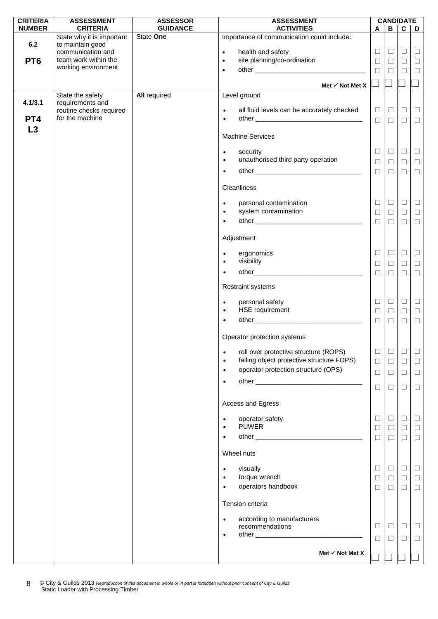| <b>CRITERIA</b> | <b>ASSESSMENT</b>                     | <b>ASSESSOR</b>     | <b>ASSESSMENT</b>                                                                               |        |              | <b>CANDIDATE</b> |        |
|-----------------|---------------------------------------|---------------------|-------------------------------------------------------------------------------------------------|--------|--------------|------------------|--------|
| <b>NUMBER</b>   | <b>CRITERIA</b>                       | <b>GUIDANCE</b>     | <b>ACTIVITIES</b>                                                                               | A      | $\, {\bf B}$ | $\overline{c}$   | D      |
|                 | State why it is important             | State One           | Importance of communication could include:                                                      |        |              |                  |        |
| 6.2             | to maintain good<br>communication and |                     | health and safety<br>$\bullet$                                                                  | $\Box$ | $\Box$       | $\Box$           | $\Box$ |
| PT <sub>6</sub> | team work within the                  |                     | site planning/co-ordination<br>$\bullet$                                                        |        |              |                  |        |
|                 | working environment                   |                     |                                                                                                 | $\Box$ | $\Box$       | $\Box$           | $\Box$ |
|                 |                                       |                     | $\bullet$                                                                                       | $\Box$ | $\Box$       | $\Box$           | $\Box$ |
|                 |                                       |                     | Met $\checkmark$ Not Met X                                                                      |        |              |                  |        |
|                 | State the safety                      | <b>All required</b> | Level ground                                                                                    |        |              |                  |        |
| 4.1/3.1         | requirements and                      |                     |                                                                                                 |        |              |                  |        |
|                 | routine checks required               |                     | all fluid levels can be accurately checked<br>$\bullet$                                         | $\Box$ | $\Box$       | $\Box$           | $\Box$ |
| PT <sub>4</sub> | for the machine                       |                     | $\bullet$                                                                                       |        |              |                  |        |
|                 |                                       |                     |                                                                                                 | $\Box$ | $\Box$       | $\Box$           | $\Box$ |
| L3              |                                       |                     | <b>Machine Services</b>                                                                         |        |              |                  |        |
|                 |                                       |                     |                                                                                                 |        |              |                  |        |
|                 |                                       |                     | security<br>$\bullet$                                                                           | ⊔      | $\Box$       | $\Box$           | $\Box$ |
|                 |                                       |                     | unauthorised third party operation<br>$\bullet$                                                 | $\Box$ | $\Box$       | $\Box$           | $\Box$ |
|                 |                                       |                     | $\bullet$                                                                                       | $\Box$ |              |                  |        |
|                 |                                       |                     |                                                                                                 |        | $\Box$       | $\Box$           | $\Box$ |
|                 |                                       |                     | Cleanliness                                                                                     |        |              |                  |        |
|                 |                                       |                     |                                                                                                 |        |              |                  |        |
|                 |                                       |                     | personal contamination<br>$\bullet$                                                             | $\Box$ | $\Box$       | $\Box$           | $\Box$ |
|                 |                                       |                     | system contamination<br>$\bullet$                                                               | $\Box$ | $\Box$       | $\Box$           | $\Box$ |
|                 |                                       |                     | $\bullet$                                                                                       | □      | $\Box$       | $\Box$           | $\Box$ |
|                 |                                       |                     |                                                                                                 |        |              |                  |        |
|                 |                                       |                     | Adjustment                                                                                      |        |              |                  |        |
|                 |                                       |                     |                                                                                                 |        |              |                  |        |
|                 |                                       |                     | ergonomics<br>$\bullet$                                                                         | ⊔      | $\Box$       | $\Box$           | $\Box$ |
|                 |                                       |                     | visibility<br>$\bullet$                                                                         | $\Box$ | $\Box$       | $\Box$           | $\Box$ |
|                 |                                       |                     | $\bullet$                                                                                       | $\Box$ | $\Box$       | $\Box$           | $\Box$ |
|                 |                                       |                     |                                                                                                 |        |              |                  |        |
|                 |                                       |                     | <b>Restraint systems</b>                                                                        |        |              |                  |        |
|                 |                                       |                     |                                                                                                 |        |              |                  |        |
|                 |                                       |                     | personal safety<br>$\bullet$                                                                    | $\Box$ | $\Box$       | $\Box$           | $\Box$ |
|                 |                                       |                     | HSE requirement<br>$\bullet$                                                                    | $\Box$ | $\Box$       | $\Box$           | $\Box$ |
|                 |                                       |                     | $\bullet$                                                                                       | $\Box$ | $\Box$       | $\Box$           | $\Box$ |
|                 |                                       |                     |                                                                                                 |        |              |                  |        |
|                 |                                       |                     | Operator protection systems                                                                     |        |              |                  |        |
|                 |                                       |                     |                                                                                                 | $\Box$ | $\Box$       | $\Box$           | $\Box$ |
|                 |                                       |                     | roll over protective structure (ROPS)<br>$\bullet$<br>falling object protective structure FOPS) |        |              |                  |        |
|                 |                                       |                     | $\bullet$                                                                                       | $\Box$ | $\Box$       | $\Box$           | $\Box$ |
|                 |                                       |                     | operator protection structure (OPS)<br>$\bullet$                                                | $\Box$ | $\Box$       | $\Box$           | $\Box$ |
|                 |                                       |                     | $\bullet$                                                                                       |        |              |                  |        |
|                 |                                       |                     |                                                                                                 | $\Box$ | $\Box$       | $\Box$           | $\Box$ |
|                 |                                       |                     | Access and Egress                                                                               |        |              |                  |        |
|                 |                                       |                     |                                                                                                 |        |              |                  |        |
|                 |                                       |                     | operator safety<br>$\bullet$                                                                    | Ц      | $\Box$       | $\Box$           | $\Box$ |
|                 |                                       |                     | <b>PUWER</b><br>$\bullet$                                                                       | $\Box$ | $\Box$       | $\Box$           | $\Box$ |
|                 |                                       |                     | $\bullet$                                                                                       | □      | $\Box$       | $\Box$           | $\Box$ |
|                 |                                       |                     |                                                                                                 |        |              |                  |        |
|                 |                                       |                     | Wheel nuts                                                                                      |        |              |                  |        |
|                 |                                       |                     |                                                                                                 |        |              |                  |        |
|                 |                                       |                     | visually<br>$\bullet$                                                                           | $\Box$ | ⊔            | $\Box$           | $\Box$ |
|                 |                                       |                     | torque wrench<br>$\bullet$                                                                      | $\Box$ | $\Box$       | $\Box$           | $\Box$ |
|                 |                                       |                     | operators handbook<br>$\bullet$                                                                 | $\Box$ | $\Box$       | $\Box$           | $\Box$ |
|                 |                                       |                     |                                                                                                 |        |              |                  |        |
|                 |                                       |                     | Tension criteria                                                                                |        |              |                  |        |
|                 |                                       |                     | according to manufacturers<br>$\bullet$                                                         |        |              |                  |        |
|                 |                                       |                     | recommendations                                                                                 | ⊔      | $\Box$       | $\Box$           | $\Box$ |
|                 |                                       |                     | $\bullet$                                                                                       | $\Box$ | $\Box$       | $\Box$           | $\Box$ |
|                 |                                       |                     |                                                                                                 |        |              |                  |        |
|                 |                                       |                     | Met $\checkmark$ Not Met X                                                                      |        |              |                  |        |
|                 |                                       |                     |                                                                                                 |        |              |                  |        |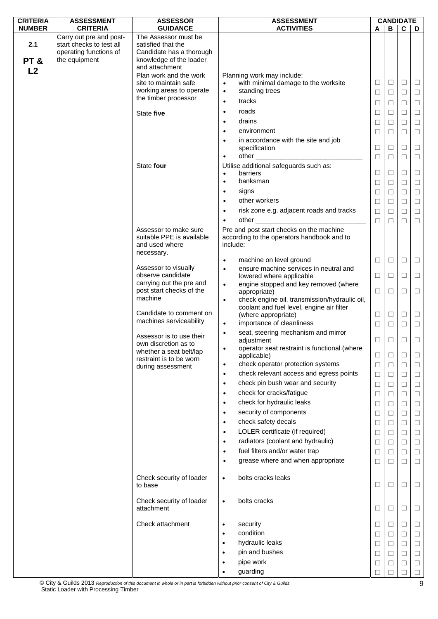| <b>CRITERIA</b> | <b>ASSESSMENT</b>                                                                              | <b>ASSESSOR</b>                                                                                                     | <b>ASSESSMENT</b>                                                                                                              | <b>CANDIDATE</b> |             |             |                  |
|-----------------|------------------------------------------------------------------------------------------------|---------------------------------------------------------------------------------------------------------------------|--------------------------------------------------------------------------------------------------------------------------------|------------------|-------------|-------------|------------------|
| <b>NUMBER</b>   | <b>CRITERIA</b>                                                                                | <b>GUIDANCE</b>                                                                                                     | <b>ACTIVITIES</b>                                                                                                              | A                | В           | C           | D                |
| 2.1<br>PT&      | Carry out pre and post-<br>start checks to test all<br>operating functions of<br>the equipment | The Assessor must be<br>satisfied that the<br>Candidate has a thorough<br>knowledge of the loader<br>and attachment |                                                                                                                                |                  |             |             |                  |
| L <sub>2</sub>  |                                                                                                | Plan work and the work                                                                                              | Planning work may include:                                                                                                     |                  |             |             |                  |
|                 |                                                                                                | site to maintain safe                                                                                               | with minimal damage to the worksite                                                                                            | □                | $\Box$      | $\Box$      | $\Box$           |
|                 |                                                                                                | working areas to operate<br>the timber processor                                                                    | standing trees<br>$\bullet$                                                                                                    | ⊔                | $\Box$      | ⊔           | $\Box$           |
|                 |                                                                                                |                                                                                                                     | tracks<br>$\bullet$                                                                                                            | $\Box$           | □           | □           | $\Box$           |
|                 |                                                                                                | State five                                                                                                          | roads<br>$\bullet$                                                                                                             | □                | $\Box$      | □           | $\Box$           |
|                 |                                                                                                |                                                                                                                     | drains<br>$\bullet$                                                                                                            | □                | $\Box$      | $\Box$      | $\Box$           |
|                 |                                                                                                |                                                                                                                     | environment<br>$\bullet$                                                                                                       | □                | □           | □           | $\Box$           |
|                 |                                                                                                |                                                                                                                     | in accordance with the site and job<br>$\bullet$<br>specification<br>other _______________                                     | □                | □           | □           | $\Box$           |
|                 |                                                                                                | State four                                                                                                          | $\bullet$<br>Utilise additional safeguards such as:                                                                            | $\Box$           | $\Box$      | $\Box$      | $\Box$           |
|                 |                                                                                                |                                                                                                                     | barriers<br>$\bullet$                                                                                                          | $\Box$           | $\Box$      | $\Box$      | $\Box$           |
|                 |                                                                                                |                                                                                                                     | banksman<br>$\bullet$                                                                                                          | $\Box$           | $\Box$      | □           | $\Box$           |
|                 |                                                                                                |                                                                                                                     | signs<br>$\bullet$                                                                                                             | $\Box$           | $\Box$      | $\Box$      | $\Box$           |
|                 |                                                                                                |                                                                                                                     | other workers<br>$\bullet$                                                                                                     | $\Box$           | $\Box$      | $\Box$      | $\Box$           |
|                 |                                                                                                |                                                                                                                     | risk zone e.g. adjacent roads and tracks<br>$\bullet$                                                                          | □                | $\Box$      | □           | $\Box$           |
|                 |                                                                                                |                                                                                                                     | other                                                                                                                          | $\Box$           | $\Box$      | П           | $\Box$           |
|                 |                                                                                                | Assessor to make sure<br>suitable PPE is available<br>and used where<br>necessary.                                  | Pre and post start checks on the machine<br>according to the operators handbook and to<br>include:                             |                  |             |             |                  |
|                 |                                                                                                |                                                                                                                     | machine on level ground<br>$\bullet$                                                                                           | ⊔                | ⊔           | ⊔           | $\Box$           |
|                 |                                                                                                | Assessor to visually<br>observe candidate                                                                           | ensure machine services in neutral and<br>$\bullet$<br>lowered where applicable                                                | ⊔                | ⊔           | ⊔           | $\Box$           |
|                 |                                                                                                | carrying out the pre and<br>post start checks of the                                                                | engine stopped and key removed (where<br>$\bullet$<br>appropriate)                                                             | $\Box$           | □           | □           | $\Box$           |
|                 |                                                                                                | machine<br>Candidate to comment on<br>machines serviceability                                                       | check engine oil, transmission/hydraulic oil,<br>$\bullet$<br>coolant and fuel level, engine air filter<br>(where appropriate) | $\Box$           | $\Box$      | $\Box$      | $\Box$           |
|                 |                                                                                                |                                                                                                                     | importance of cleanliness<br>$\bullet$<br>seat, steering mechanism and mirror                                                  | □                | $\Box$      | □           | $\Box$           |
|                 |                                                                                                | Assessor is to use their<br>own discretion as to                                                                    | $\bullet$<br>adjustment                                                                                                        | ⊔                | ⊔           | ⊔           | $\Box$           |
|                 |                                                                                                | whether a seat belt/lap                                                                                             | operator seat restraint is functional (where<br>$\bullet$<br>applicable)                                                       | $\Box$           | $\Box$      | $\Box$      | $\Box$           |
|                 |                                                                                                | restraint is to be worn<br>during assessment                                                                        | check operator protection systems<br>$\bullet$                                                                                 | $\Box$           | $\Box$      | □           | $\Box$           |
|                 |                                                                                                |                                                                                                                     | check relevant access and egress points<br>$\bullet$                                                                           | $\Box$           | $\Box$      | □           | $\Box$           |
|                 |                                                                                                |                                                                                                                     | check pin bush wear and security<br>$\bullet$                                                                                  | $\Box$           | $\Box$      | $\Box$      | $\Box$           |
|                 |                                                                                                |                                                                                                                     | check for cracks/fatigue<br>$\bullet$                                                                                          | $\Box$           | $\Box$      | $\Box$      | $\Box$           |
|                 |                                                                                                |                                                                                                                     | check for hydraulic leaks<br>$\bullet$                                                                                         | $\Box$           | $\Box$      | □           | $\Box$           |
|                 |                                                                                                |                                                                                                                     | security of components<br>$\bullet$                                                                                            | $\Box$           | $\Box$      | $\Box$      | $\Box$           |
|                 |                                                                                                |                                                                                                                     | check safety decals<br>$\bullet$                                                                                               | $\Box$           | $\Box$      | □           | $\Box$           |
|                 |                                                                                                |                                                                                                                     | LOLER certificate (if required)<br>$\bullet$                                                                                   | $\Box$           | $\Box$      | $\Box$      | $\Box$           |
|                 |                                                                                                |                                                                                                                     | radiators (coolant and hydraulic)<br>$\bullet$                                                                                 |                  |             |             |                  |
|                 |                                                                                                |                                                                                                                     | fuel filters and/or water trap<br>$\bullet$                                                                                    | $\Box$           | $\Box$      | $\Box$      | $\Box$           |
|                 |                                                                                                |                                                                                                                     | grease where and when appropriate<br>$\bullet$                                                                                 | $\Box$<br>$\Box$ | □<br>$\Box$ | □<br>$\Box$ | $\Box$<br>$\Box$ |
|                 |                                                                                                | Check security of loader<br>to base                                                                                 | bolts cracks leaks<br>$\bullet$                                                                                                | □                | □           | ⊔           | $\Box$           |
|                 |                                                                                                | Check security of loader<br>attachment                                                                              | bolts cracks<br>$\bullet$                                                                                                      | $\Box$           | $\Box$      | $\Box$      | $\Box$           |
|                 |                                                                                                | Check attachment                                                                                                    | security<br>$\bullet$                                                                                                          | □                | ⊔           | $\sqcup$    | $\Box$           |
|                 |                                                                                                |                                                                                                                     | condition<br>$\bullet$                                                                                                         | $\Box$           | $\Box$      | $\Box$      | $\Box$           |
|                 |                                                                                                |                                                                                                                     | hydraulic leaks<br>$\bullet$                                                                                                   | □                | □           | $\Box$      | $\Box$           |
|                 |                                                                                                |                                                                                                                     | pin and bushes<br>$\bullet$                                                                                                    | □                | □           | □           | $\Box$           |
|                 |                                                                                                |                                                                                                                     | pipe work<br>$\bullet$                                                                                                         | $\Box$           | □           | $\Box$      | $\Box$           |
|                 |                                                                                                |                                                                                                                     | guarding<br>$\bullet$                                                                                                          | П                | П           | П           | $\Box$           |

© City & Guilds 2013 *Reproduction of this document in whole or in part is forbidden without prior consent of City & Guilds*  Static Loader with Processing Timber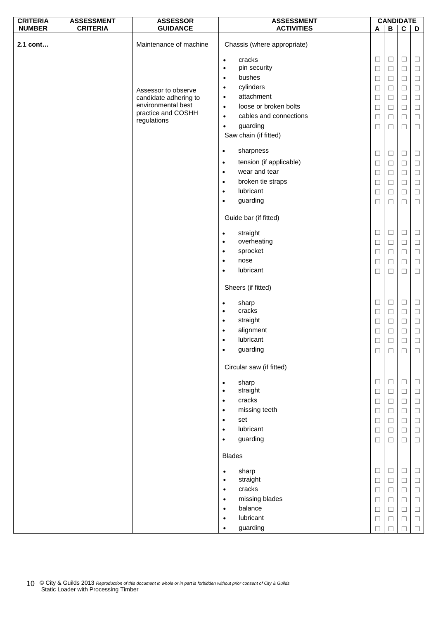| <b>CRITERIA</b> | <b>ASSESSMENT</b> | <b>ASSESSOR</b>                   | <b>ASSESSMENT</b>                           |        | <b>CANDIDATE</b> |             |        |
|-----------------|-------------------|-----------------------------------|---------------------------------------------|--------|------------------|-------------|--------|
| <b>NUMBER</b>   | <b>CRITERIA</b>   | <b>GUIDANCE</b>                   | <b>ACTIVITIES</b>                           | A      | $\, {\bf B}$     | $\mathbf c$ | D      |
| 2.1 cont        |                   | Maintenance of machine            | Chassis (where appropriate)                 |        |                  |             |        |
|                 |                   |                                   | cracks<br>$\bullet$                         | $\Box$ | $\Box$           | $\Box$      | $\Box$ |
|                 |                   |                                   | pin security<br>$\bullet$                   | $\Box$ | $\Box$           | $\Box$      | $\Box$ |
|                 |                   |                                   | bushes<br>$\bullet$                         | $\Box$ | $\Box$           | $\Box$      | $\Box$ |
|                 |                   | Assessor to observe               | cylinders<br>$\bullet$                      | □      | $\Box$           | $\Box$      | $\Box$ |
|                 |                   | candidate adhering to             | attachment<br>$\bullet$                     | $\Box$ | $\Box$           | $\Box$      | $\Box$ |
|                 |                   | environmental best                | loose or broken bolts<br>$\bullet$          | $\Box$ | $\Box$           | $\Box$      | $\Box$ |
|                 |                   | practice and COSHH<br>regulations | cables and connections<br>$\bullet$         | $\Box$ | $\Box$           | $\Box$      | $\Box$ |
|                 |                   |                                   | guarding<br>$\bullet$                       | $\Box$ | $\Box$           | $\Box$      | $\Box$ |
|                 |                   |                                   | Saw chain (if fitted)                       |        |                  |             |        |
|                 |                   |                                   | sharpness<br>$\bullet$                      | $\Box$ | $\Box$           | $\Box$      | $\Box$ |
|                 |                   |                                   | tension (if applicable)<br>$\bullet$        | $\Box$ | $\Box$           | $\Box$      | $\Box$ |
|                 |                   |                                   | wear and tear<br>$\bullet$                  | $\Box$ | $\Box$           | $\Box$      | $\Box$ |
|                 |                   |                                   | broken tie straps<br>$\bullet$              | $\Box$ | $\Box$           | $\Box$      | $\Box$ |
|                 |                   |                                   | lubricant<br>$\bullet$                      | $\Box$ | $\Box$           | $\Box$      | $\Box$ |
|                 |                   |                                   | guarding<br>$\bullet$                       | $\Box$ | $\Box$           | $\Box$      | $\Box$ |
|                 |                   |                                   | Guide bar (if fitted)                       |        |                  |             |        |
|                 |                   |                                   | straight<br>$\bullet$                       | $\Box$ | $\Box$           | $\Box$      | $\Box$ |
|                 |                   |                                   | overheating<br>$\bullet$                    | $\Box$ | $\Box$           | $\Box$      | $\Box$ |
|                 |                   |                                   | sprocket<br>$\bullet$                       | $\Box$ | $\Box$           | $\Box$      | $\Box$ |
|                 |                   |                                   | nose<br>$\bullet$<br>lubricant<br>$\bullet$ | $\Box$ | $\Box$           | $\Box$      | $\Box$ |
|                 |                   |                                   | Sheers (if fitted)                          | $\Box$ | $\Box$           | $\Box$      | $\Box$ |
|                 |                   |                                   | sharp                                       | $\Box$ | $\Box$           | $\Box$      | $\Box$ |
|                 |                   |                                   | $\bullet$<br>cracks<br>$\bullet$            | $\Box$ | $\Box$           | $\Box$      | $\Box$ |
|                 |                   |                                   | straight<br>$\bullet$                       | $\Box$ | $\Box$           | $\Box$      | $\Box$ |
|                 |                   |                                   | alignment<br>$\bullet$                      | Ц      | $\Box$           | $\Box$      | $\Box$ |
|                 |                   |                                   | lubricant<br>$\bullet$                      | $\Box$ | $\Box$           | $\Box$      | $\Box$ |
|                 |                   |                                   | guarding<br>$\bullet$                       | $\Box$ | $\Box$           | □           | $\Box$ |
|                 |                   |                                   | Circular saw (if fitted)                    |        |                  |             |        |
|                 |                   |                                   | sharp<br>$\bullet$                          | $\Box$ | $\Box$           | $\Box$      | $\Box$ |
|                 |                   |                                   | straight<br>$\bullet$                       | $\Box$ | $\Box$           | $\Box$      | $\Box$ |
|                 |                   |                                   | cracks<br>$\bullet$                         | $\Box$ | $\Box$           | $\Box$      | $\Box$ |
|                 |                   |                                   | missing teeth<br>$\bullet$                  | $\Box$ | $\Box$           | $\Box$      | $\Box$ |
|                 |                   |                                   | set<br>$\bullet$                            | $\Box$ | $\Box$           | $\Box$      | $\Box$ |
|                 |                   |                                   | lubricant<br>$\bullet$                      | $\Box$ | $\Box$           | $\Box$      | $\Box$ |
|                 |                   |                                   | guarding<br>$\bullet$                       | $\Box$ | $\Box$           | $\Box$      | $\Box$ |
|                 |                   |                                   | <b>Blades</b>                               |        |                  |             |        |
|                 |                   |                                   | sharp<br>$\bullet$                          | $\Box$ | $\Box$           | $\Box$      | $\Box$ |
|                 |                   |                                   | straight<br>$\bullet$                       | $\Box$ | $\Box$           | $\Box$      | $\Box$ |
|                 |                   |                                   | cracks<br>$\bullet$                         | $\Box$ | $\Box$           | $\Box$      | $\Box$ |
|                 |                   |                                   | missing blades<br>$\bullet$                 | $\Box$ | $\Box$           | $\Box$      | $\Box$ |
|                 |                   |                                   | balance<br>$\bullet$                        | $\Box$ | $\Box$           | $\Box$      | $\Box$ |
|                 |                   |                                   | lubricant<br>$\bullet$                      | $\Box$ | $\Box$           | $\Box$      | $\Box$ |
|                 |                   |                                   | guarding<br>$\bullet$                       | $\Box$ |                  |             | $\Box$ |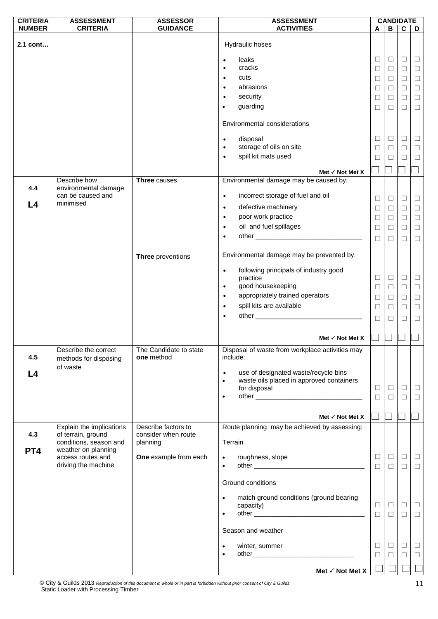| <b>CRITERIA</b> | <b>ASSESSMENT</b>                             | <b>ASSESSOR</b>                      | <b>ASSESSMENT</b>                                                    |        |        | <b>CANDIDATE</b>        |        |
|-----------------|-----------------------------------------------|--------------------------------------|----------------------------------------------------------------------|--------|--------|-------------------------|--------|
| <b>NUMBER</b>   | <b>CRITERIA</b>                               | <b>GUIDANCE</b>                      | <b>ACTIVITIES</b>                                                    | A      | B      | $\overline{\mathbf{c}}$ | D      |
| 2.1 cont        |                                               |                                      | Hydraulic hoses                                                      |        |        |                         |        |
|                 |                                               |                                      | leaks                                                                | $\Box$ | $\Box$ | $\Box$                  | $\Box$ |
|                 |                                               |                                      | cracks<br>$\bullet$                                                  | $\Box$ | $\Box$ | $\Box$                  | $\Box$ |
|                 |                                               |                                      | cuts                                                                 | □      | □      | $\Box$                  | $\Box$ |
|                 |                                               |                                      | abrasions                                                            | $\Box$ | $\Box$ | $\Box$                  | $\Box$ |
|                 |                                               |                                      | security<br>$\bullet$                                                |        |        |                         |        |
|                 |                                               |                                      | guarding                                                             | □      | □      | $\Box$                  | $\Box$ |
|                 |                                               |                                      | $\bullet$                                                            | □      | $\Box$ | $\Box$                  | $\Box$ |
|                 |                                               |                                      | Environmental considerations                                         |        |        |                         |        |
|                 |                                               |                                      | disposal<br>$\bullet$                                                | $\Box$ | □      | $\Box$                  | $\Box$ |
|                 |                                               |                                      | storage of oils on site<br>$\bullet$                                 | $\Box$ | $\Box$ | $\Box$                  | $\Box$ |
|                 |                                               |                                      | spill kit mats used<br>$\bullet$                                     | ⊔      | Ш      | П                       | $\Box$ |
|                 |                                               |                                      |                                                                      |        |        |                         |        |
|                 | Describe how                                  | <b>Three causes</b>                  | Met $\checkmark$ Not Met X<br>Environmental damage may be caused by: |        |        |                         |        |
| 4.4             | environmental damage<br>can be caused and     |                                      | incorrect storage of fuel and oil<br>$\bullet$                       |        |        |                         |        |
| L <sub>4</sub>  | minimised                                     |                                      |                                                                      | $\Box$ | $\Box$ | $\Box$                  | $\Box$ |
|                 |                                               |                                      | defective machinery<br>$\bullet$                                     | $\Box$ | $\Box$ | $\Box$                  | $\Box$ |
|                 |                                               |                                      | poor work practice<br>$\bullet$                                      | $\Box$ | $\Box$ | $\Box$                  | $\Box$ |
|                 |                                               |                                      | oil and fuel spillages<br>$\bullet$                                  | $\Box$ | $\Box$ | $\Box$                  | $\Box$ |
|                 |                                               |                                      |                                                                      | $\Box$ | П      | П                       | $\Box$ |
|                 |                                               |                                      |                                                                      |        |        |                         |        |
|                 |                                               | Three preventions                    | Environmental damage may be prevented by:                            |        |        |                         |        |
|                 |                                               |                                      | following principals of industry good<br>$\bullet$                   |        |        |                         |        |
|                 |                                               |                                      | practice                                                             | $\Box$ | $\Box$ | $\Box$                  | $\Box$ |
|                 |                                               |                                      | good housekeeping<br>$\bullet$                                       | $\Box$ | $\Box$ | $\Box$                  | $\Box$ |
|                 |                                               |                                      | appropriately trained operators<br>$\bullet$                         | $\Box$ | $\Box$ | $\Box$                  | $\Box$ |
|                 |                                               |                                      | spill kits are available<br>$\bullet$                                | $\Box$ | $\Box$ | $\Box$                  | $\Box$ |
|                 |                                               |                                      |                                                                      | $\Box$ | П      | П                       | $\Box$ |
|                 |                                               |                                      |                                                                      |        |        |                         |        |
|                 |                                               |                                      | Met $\checkmark$ Not Met X                                           |        |        |                         |        |
| 4.5             | Describe the correct<br>methods for disposing | The Candidate to state<br>one method | Disposal of waste from workplace activities may<br>include:          |        |        |                         |        |
| L4              | of waste                                      |                                      | use of designated waste/recycle bins<br>$\bullet$                    |        |        |                         |        |
|                 |                                               |                                      | waste oils placed in approved containers<br>$\bullet$                |        |        |                         |        |
|                 |                                               |                                      | for disposal                                                         | □      | $\Box$ | $\Box$                  | $\Box$ |
|                 |                                               |                                      | $\bullet$                                                            | $\Box$ | $\Box$ | $\Box$                  | $\Box$ |
|                 |                                               |                                      |                                                                      |        |        |                         |        |
|                 |                                               |                                      | Met $\checkmark$ Not Met X                                           | - 1    |        |                         |        |
|                 | Explain the implications                      | Describe factors to                  | Route planning may be achieved by assessing:                         |        |        |                         |        |
| 4.3             | of terrain, ground<br>conditions, season and  | consider when route<br>planning      | Terrain                                                              |        |        |                         |        |
| PT4             | weather on planning                           |                                      |                                                                      |        |        |                         |        |
|                 | access routes and<br>driving the machine      | One example from each                | roughness, slope<br>$\bullet$                                        | $\Box$ | $\Box$ | $\Box$                  | $\Box$ |
|                 |                                               |                                      | $\bullet$                                                            | $\Box$ | $\Box$ | $\Box$                  | $\Box$ |
|                 |                                               |                                      | Ground conditions                                                    |        |        |                         |        |
|                 |                                               |                                      | match ground conditions (ground bearing<br>$\bullet$                 |        |        |                         |        |
|                 |                                               |                                      | capacity)                                                            | $\Box$ | $\Box$ | $\Box$                  | $\Box$ |
|                 |                                               |                                      | $\bullet$                                                            | $\Box$ | $\Box$ | $\Box$                  | $\Box$ |
|                 |                                               |                                      | Season and weather                                                   |        |        |                         |        |
|                 |                                               |                                      |                                                                      |        |        |                         |        |
|                 |                                               |                                      | winter, summer<br>$\bullet$                                          | □      | $\Box$ | $\Box$                  | $\Box$ |
|                 |                                               |                                      | $\bullet$                                                            | □      | □      | $\Box$                  | $\Box$ |
|                 |                                               |                                      | Met $\checkmark$ Not Met X                                           |        |        |                         |        |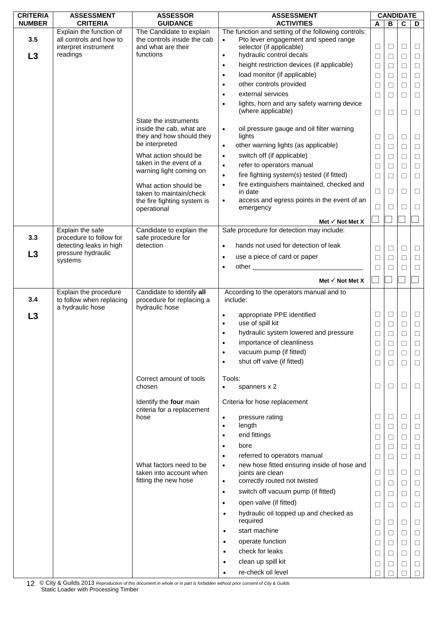| <b>CRITERIA</b> | <b>ASSESSMENT</b>                                  | <b>ASSESSOR</b>                                         | <b>ASSESSMENT</b>                                                                           | <b>CANDIDATE</b> |        |             |        |
|-----------------|----------------------------------------------------|---------------------------------------------------------|---------------------------------------------------------------------------------------------|------------------|--------|-------------|--------|
| <b>NUMBER</b>   | <b>CRITERIA</b>                                    | <b>GUIDANCE</b>                                         | <b>ACTIVITIES</b>                                                                           | A                | В      | $\mathbf c$ | D      |
| 3.5             | Explain the function of<br>all controls and how to | The Candidate to explain<br>the controls inside the cab | The function and setting of the following controls:<br>Pto lever engagement and speed range |                  |        |             |        |
|                 | interpret instrument                               | and what are their                                      | $\bullet$<br>selector (if applicable)                                                       | $\Box$           | $\Box$ | $\Box$      | $\Box$ |
| L3              | readings                                           | functions                                               | hydraulic control decals<br>$\bullet$                                                       | $\Box$           | $\Box$ | $\Box$      | $\Box$ |
|                 |                                                    |                                                         | height restriction devices (if applicable)<br>$\bullet$                                     | $\Box$           | $\Box$ | $\Box$      | $\Box$ |
|                 |                                                    |                                                         | load monitor (if applicable)<br>$\bullet$                                                   | $\Box$           | $\Box$ | $\Box$      | $\Box$ |
|                 |                                                    |                                                         | other controls provided<br>$\bullet$                                                        | $\Box$           | $\Box$ | $\Box$      | $\Box$ |
|                 |                                                    |                                                         | external services                                                                           |                  |        |             |        |
|                 |                                                    |                                                         | lights, horn and any safety warning device                                                  | □                | $\Box$ | $\Box$      | $\Box$ |
|                 |                                                    |                                                         | (where applicable)                                                                          | □                | $\Box$ | □           | $\Box$ |
|                 |                                                    | State the instruments                                   |                                                                                             |                  |        |             |        |
|                 |                                                    | inside the cab, what are                                | oil pressure gauge and oil filter warning<br>$\bullet$                                      |                  |        |             |        |
|                 |                                                    | they and how should they                                | lights                                                                                      | $\Box$           | $\Box$ | $\Box$      | $\Box$ |
|                 |                                                    | be interpreted                                          | other warning lights (as applicable)<br>$\bullet$                                           | $\Box$           | $\Box$ | $\Box$      | $\Box$ |
|                 |                                                    | What action should be                                   | switch off (if applicable)<br>$\bullet$                                                     | □                | $\Box$ | $\Box$      | $\Box$ |
|                 |                                                    | taken in the event of a                                 | refer to operators manual<br>$\bullet$                                                      | $\Box$           | $\Box$ | $\Box$      | $\Box$ |
|                 |                                                    | warning light coming on                                 | fire fighting system(s) tested (if fitted)<br>$\bullet$                                     | □                | $\Box$ | $\Box$      | $\Box$ |
|                 |                                                    | What action should be                                   | fire extinguishers maintained, checked and<br>$\bullet$                                     |                  |        |             |        |
|                 |                                                    | taken to maintain/check                                 | in date                                                                                     | □                | $\Box$ | □           | $\Box$ |
|                 |                                                    | the fire fighting system is                             | access and egress points in the event of an<br>٠                                            |                  |        |             |        |
|                 |                                                    | operational                                             | emergency                                                                                   | □                | $\Box$ | □           | $\Box$ |
|                 |                                                    |                                                         | Met $\checkmark$ Not Met X                                                                  |                  |        |             |        |
|                 | Explain the safe                                   | Candidate to explain the                                | Safe procedure for detection may include:                                                   |                  |        |             |        |
| 3.3             | procedure to follow for                            | safe procedure for                                      |                                                                                             |                  |        |             |        |
| L3              | detecting leaks in high<br>pressure hydraulic      | detection                                               | hands not used for detection of leak<br>$\bullet$                                           | $\Box$           | $\Box$ | $\Box$      | $\Box$ |
|                 | systems                                            |                                                         | use a piece of card or paper<br>$\bullet$                                                   | □                | $\Box$ | $\Box$      | $\Box$ |
|                 |                                                    |                                                         |                                                                                             | ⊔                |        | ⊔           | $\Box$ |
|                 |                                                    |                                                         | Met $\checkmark$ Not Met X                                                                  |                  |        |             |        |
|                 | Explain the procedure                              | Candidate to identify all                               | According to the operators manual and to                                                    |                  |        |             |        |
| 3.4             | to follow when replacing                           | procedure for replacing a                               | include:                                                                                    |                  |        |             |        |
|                 | a hydraulic hose                                   | hydraulic hose                                          |                                                                                             |                  |        |             |        |
| L3              |                                                    |                                                         | appropriate PPE identified<br>$\bullet$                                                     | $\Box$           | $\Box$ | $\Box$      | $\Box$ |
|                 |                                                    |                                                         | use of spill kit                                                                            | □                | $\Box$ | $\Box$      | $\Box$ |
|                 |                                                    |                                                         | hydraulic system lowered and pressure                                                       | $\Box$           | П      | $\Box$      | $\Box$ |
|                 |                                                    |                                                         | importance of cleanliness<br>$\bullet$                                                      | Ш                | ⊔      | ⊔           | $\Box$ |
|                 |                                                    |                                                         | vacuum pump (if fitted)<br>$\bullet$                                                        | □                | $\Box$ | □           | $\Box$ |
|                 |                                                    |                                                         | shut off valve (if fitted)<br>$\bullet$                                                     | $\Box$           | $\Box$ | $\Box$      | $\Box$ |
|                 |                                                    |                                                         |                                                                                             |                  |        |             |        |
|                 |                                                    | Correct amount of tools                                 | Tools:                                                                                      |                  |        |             |        |
|                 |                                                    | chosen                                                  | spanners x 2<br>$\bullet$                                                                   | □                | □      | □           | $\Box$ |
|                 |                                                    | Identify the four main                                  | Criteria for hose replacement                                                               |                  |        |             |        |
|                 |                                                    | criteria for a replacement                              |                                                                                             |                  |        |             |        |
|                 |                                                    | hose                                                    | pressure rating<br>$\bullet$                                                                | ⊔                | $\Box$ | □           | $\Box$ |
|                 |                                                    |                                                         | length<br>$\bullet$                                                                         | $\Box$           | □      | $\Box$      | $\Box$ |
|                 |                                                    |                                                         | end fittings<br>$\bullet$                                                                   | $\Box$           | $\Box$ | $\Box$      | $\Box$ |
|                 |                                                    |                                                         | bore<br>$\bullet$                                                                           | □                | $\Box$ | $\Box$      | $\Box$ |
|                 |                                                    |                                                         | referred to operators manual<br>$\bullet$                                                   | $\Box$           | $\Box$ | $\Box$      | $\Box$ |
|                 |                                                    | What factors need to be                                 | new hose fitted ensuring inside of hose and<br>$\bullet$                                    |                  |        |             |        |
|                 |                                                    | taken into account when                                 | joints are clean                                                                            | $\Box$           | □      | □           | $\Box$ |
|                 |                                                    | fitting the new hose                                    | correctly routed not twisted<br>$\bullet$                                                   | $\Box$           | $\Box$ | $\Box$      | $\Box$ |
|                 |                                                    |                                                         | switch off vacuum pump (if fitted)<br>$\bullet$                                             | □                | $\Box$ | □           | $\Box$ |
|                 |                                                    |                                                         | open valve (if fitted)<br>$\bullet$                                                         | $\Box$           | $\Box$ | $\Box$      | $\Box$ |
|                 |                                                    |                                                         | hydraulic oil topped up and checked as<br>$\bullet$                                         |                  |        |             |        |
|                 |                                                    |                                                         | required                                                                                    | □                | □      | $\Box$      | $\Box$ |
|                 |                                                    |                                                         | start machine<br>$\bullet$                                                                  | $\Box$           | $\Box$ | $\Box$      | $\Box$ |
|                 |                                                    |                                                         | operate function<br>$\bullet$                                                               | $\Box$           | □      | $\Box$      | $\Box$ |
|                 |                                                    |                                                         | check for leaks<br>$\bullet$                                                                | □                | $\Box$ | $\Box$      | $\Box$ |
|                 |                                                    |                                                         | clean up spill kit<br>$\bullet$                                                             | ⊔                | ⊔      | □           | $\Box$ |
|                 |                                                    |                                                         | re-check oil level<br>$\bullet$                                                             |                  |        |             | $\Box$ |
|                 |                                                    |                                                         |                                                                                             |                  |        |             |        |

© City & Guilds 2013 *Reproduction of this document in whole or in part is forbidden without prior consent of City & Guilds*  12 © City & Guilds 2013 Reproduction of this c<br>Static Loader with Processing Timber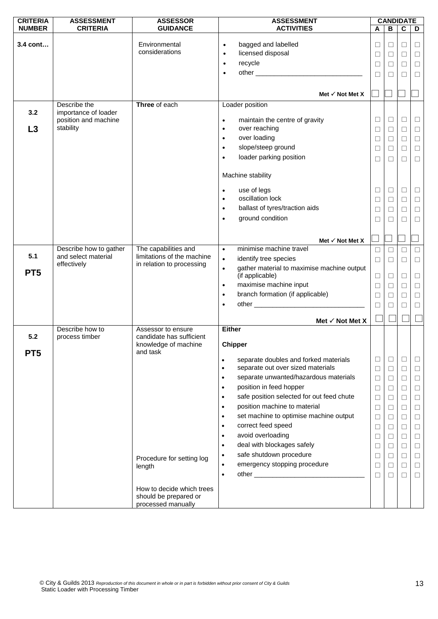| <b>CRITERIA</b> | <b>ASSESSMENT</b>                            | <b>ASSESSOR</b>                                    | <b>ASSESSMENT</b>                                       |          |              | <b>CANDIDATE</b> |               |
|-----------------|----------------------------------------------|----------------------------------------------------|---------------------------------------------------------|----------|--------------|------------------|---------------|
| <b>NUMBER</b>   | <b>CRITERIA</b>                              | <b>GUIDANCE</b>                                    | <b>ACTIVITIES</b>                                       | A        | $\, {\bf B}$ | C                | D             |
| 3.4 cont        |                                              | Environmental                                      | bagged and labelled                                     |          |              |                  |               |
|                 |                                              | considerations                                     | $\bullet$<br>licensed disposal<br>$\bullet$             | $\Box$   | $\Box$       | $\Box$<br>$\Box$ | $\Box$        |
|                 |                                              |                                                    | recycle<br>$\bullet$                                    | □        | $\Box$       |                  | $\Box$        |
|                 |                                              |                                                    |                                                         | □        | $\Box$       | $\Box$           | $\Box$        |
|                 |                                              |                                                    | $\bullet$                                               | □        | П            | П                | $\Box$        |
|                 |                                              |                                                    |                                                         |          |              |                  |               |
|                 |                                              |                                                    | Met $\checkmark$ Not Met X                              |          |              |                  |               |
|                 | Describe the                                 | Three of each                                      | Loader position                                         |          |              |                  |               |
| 3.2             | importance of loader<br>position and machine |                                                    | maintain the centre of gravity                          | $\Box$   | $\Box$       | $\Box$           | $\Box$        |
| L3              | stability                                    |                                                    | $\bullet$<br>over reaching<br>$\bullet$                 | $\Box$   | $\Box$       | $\Box$           | $\Box$        |
|                 |                                              |                                                    | over loading<br>$\bullet$                               |          |              |                  |               |
|                 |                                              |                                                    | slope/steep ground<br>$\bullet$                         | ⊔        | ⊔            | □                | $\Box$        |
|                 |                                              |                                                    | loader parking position<br>$\bullet$                    | $\Box$   | $\Box$       | $\Box$           | $\Box$        |
|                 |                                              |                                                    |                                                         | □        | $\Box$       | $\Box$           | $\Box$        |
|                 |                                              |                                                    | Machine stability                                       |          |              |                  |               |
|                 |                                              |                                                    |                                                         |          |              |                  |               |
|                 |                                              |                                                    | use of legs<br>$\bullet$                                | $\Box$   | $\Box$       | $\Box$           | $\Box$        |
|                 |                                              |                                                    | oscillation lock<br>$\bullet$                           | $\Box$   | $\Box$       | $\Box$           | $\Box$        |
|                 |                                              |                                                    | ballast of tyres/traction aids<br>$\bullet$             | ⊔        | ⊔            | □                | $\Box$        |
|                 |                                              |                                                    | ground condition<br>$\bullet$                           | □        | □            | $\Box$           | $\Box$        |
|                 |                                              |                                                    |                                                         |          |              |                  |               |
|                 |                                              |                                                    | Met $\checkmark$ Not Met X                              |          |              |                  | $\mathcal{L}$ |
|                 | Describe how to gather                       | The capabilities and                               | minimise machine travel<br>$\bullet$                    | $\Box$   | $\Box$       | $\Box$           | $\Box$        |
| 5.1             | and select material                          | limitations of the machine                         | identify tree species<br>$\bullet$                      | $\Box$   | $\Box$       | П                | $\Box$        |
|                 | effectively                                  | in relation to processing                          | gather material to maximise machine output<br>$\bullet$ |          |              |                  |               |
| PT <sub>5</sub> |                                              |                                                    | (if applicable)                                         | $\Box$   | $\Box$       | $\Box$           | $\Box$        |
|                 |                                              |                                                    | maximise machine input<br>$\bullet$                     | $\Box$   | $\Box$       | $\Box$           | $\Box$        |
|                 |                                              |                                                    | branch formation (if applicable)<br>$\bullet$           | $\Box$   | ⊔            | □                | $\Box$        |
|                 |                                              |                                                    | $\bullet$                                               | $\Box$   | □            | $\Box$           | $\Box$        |
|                 |                                              |                                                    |                                                         |          |              |                  |               |
|                 |                                              |                                                    | Met $\checkmark$ Not Met X                              |          |              |                  |               |
| 5.2             | Describe how to<br>process timber            | Assessor to ensure<br>candidate has sufficient     | <b>Either</b>                                           |          |              |                  |               |
|                 |                                              | knowledge of machine                               | Chipper                                                 |          |              |                  |               |
| PT <sub>5</sub> |                                              | and task                                           |                                                         |          |              |                  |               |
|                 |                                              |                                                    | separate doubles and forked materials<br>$\bullet$      | ⊔        | $\Box$       | □                | ⊔             |
|                 |                                              |                                                    | separate out over sized materials<br>$\bullet$          | $\Box$   | $\Box$       | $\Box$           | $\Box$        |
|                 |                                              |                                                    | separate unwanted/hazardous materials<br>$\bullet$      | $\Box$   | $\Box$       | □                | $\Box$        |
|                 |                                              |                                                    | position in feed hopper<br>$\bullet$                    | ⊔        | $\Box$       | □                | $\Box$        |
|                 |                                              |                                                    | safe position selected for out feed chute<br>$\bullet$  | $\Box$   | $\Box$       | $\Box$           | $\Box$        |
|                 |                                              |                                                    | position machine to material<br>$\bullet$               | □        | $\Box$       | □                | $\Box$        |
|                 |                                              |                                                    | set machine to optimise machine output<br>$\bullet$     | $\Box$   | $\Box$       | $\Box$           | $\Box$        |
|                 |                                              |                                                    | correct feed speed<br>$\bullet$                         | $\Box$   | $\Box$       | $\Box$           | $\Box$        |
|                 |                                              |                                                    | avoid overloading<br>$\bullet$                          | □        | $\Box$       | $\Box$           | $\Box$        |
|                 |                                              |                                                    | deal with blockages safely<br>$\bullet$                 | $\Box$   | $\Box$       | $\Box$           | $\Box$        |
|                 |                                              | Procedure for setting log                          | safe shutdown procedure<br>$\bullet$                    | $\sqcup$ | $\Box$       | □                | $\Box$        |
|                 |                                              | length                                             | emergency stopping procedure<br>$\bullet$               | $\Box$   | $\Box$       | $\Box$           | $\Box$        |
|                 |                                              |                                                    | $\bullet$                                               | □        | $\Box$       | $\Box$           | $\Box$        |
|                 |                                              |                                                    |                                                         |          |              |                  |               |
|                 |                                              | How to decide which trees<br>should be prepared or |                                                         |          |              |                  |               |
|                 |                                              | processed manually                                 |                                                         |          |              |                  |               |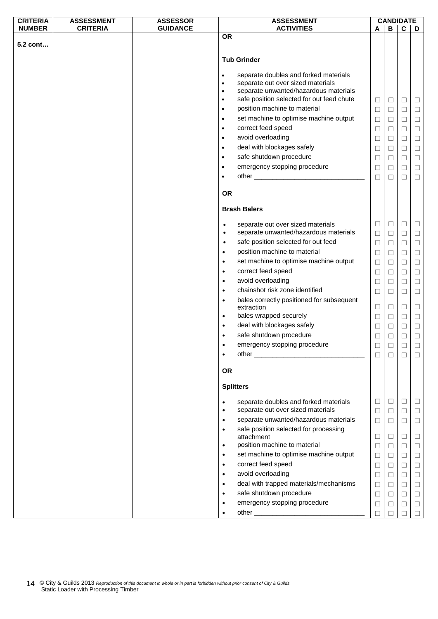| <b>CRITERIA</b> | <b>ASSESSMENT</b> | <b>ASSESSOR</b> | <b>ASSESSMENT</b>      |                                                                            |        | <b>CANDIDATE</b> |             |        |
|-----------------|-------------------|-----------------|------------------------|----------------------------------------------------------------------------|--------|------------------|-------------|--------|
| <b>NUMBER</b>   | <b>CRITERIA</b>   | <b>GUIDANCE</b> |                        | <b>ACTIVITIES</b>                                                          | A      | B                | $\mathbf c$ | D      |
|                 |                   |                 | <b>OR</b>              |                                                                            |        |                  |             |        |
| 5.2 cont        |                   |                 |                        |                                                                            |        |                  |             |        |
|                 |                   |                 |                        | <b>Tub Grinder</b>                                                         |        |                  |             |        |
|                 |                   |                 |                        |                                                                            |        |                  |             |        |
|                 |                   |                 | $\bullet$              | separate doubles and forked materials                                      |        |                  |             |        |
|                 |                   |                 | $\bullet$              | separate out over sized materials                                          |        |                  |             |        |
|                 |                   |                 | $\bullet$              | separate unwanted/hazardous materials                                      |        |                  |             |        |
|                 |                   |                 | $\bullet$              | safe position selected for out feed chute                                  | $\Box$ | $\Box$           | $\Box$      | $\Box$ |
|                 |                   |                 | $\bullet$              | position machine to material                                               | □      | $\Box$           | $\Box$      | $\Box$ |
|                 |                   |                 | $\bullet$              | set machine to optimise machine output                                     | $\Box$ | $\Box$           | $\Box$      | $\Box$ |
|                 |                   |                 | $\bullet$              | correct feed speed                                                         | $\Box$ | $\Box$           | $\Box$      | $\Box$ |
|                 |                   |                 | $\bullet$              | avoid overloading                                                          | □      | $\Box$           | $\Box$      | $\Box$ |
|                 |                   |                 | $\bullet$              | deal with blockages safely                                                 | $\Box$ | $\Box$           | $\Box$      | $\Box$ |
|                 |                   |                 | $\bullet$              | safe shutdown procedure                                                    | $\Box$ | $\Box$           | $\Box$      | $\Box$ |
|                 |                   |                 | $\bullet$              | emergency stopping procedure                                               | ⊔      | □                | ⊔           | □      |
|                 |                   |                 | $\bullet$              |                                                                            | $\Box$ | $\Box$           | $\Box$      | $\Box$ |
|                 |                   |                 |                        |                                                                            |        |                  |             |        |
|                 |                   |                 | <b>OR</b>              |                                                                            |        |                  |             |        |
|                 |                   |                 |                        |                                                                            |        |                  |             |        |
|                 |                   |                 |                        | <b>Brash Balers</b>                                                        |        |                  |             |        |
|                 |                   |                 |                        |                                                                            | $\Box$ | $\Box$           | $\Box$      | $\Box$ |
|                 |                   |                 | $\bullet$<br>$\bullet$ | separate out over sized materials<br>separate unwanted/hazardous materials |        |                  |             |        |
|                 |                   |                 | $\bullet$              | safe position selected for out feed                                        | $\Box$ | $\Box$           | $\Box$      | $\Box$ |
|                 |                   |                 |                        |                                                                            | $\Box$ | $\Box$           | $\Box$      | $\Box$ |
|                 |                   |                 | $\bullet$              | position machine to material                                               | $\Box$ | $\Box$           | $\Box$      | $\Box$ |
|                 |                   |                 | $\bullet$              | set machine to optimise machine output                                     | $\Box$ | $\Box$           | $\Box$      | $\Box$ |
|                 |                   |                 | $\bullet$              | correct feed speed                                                         | $\Box$ | $\Box$           | $\Box$      | $\Box$ |
|                 |                   |                 | $\bullet$              | avoid overloading                                                          | □      | $\Box$           | $\Box$      | $\Box$ |
|                 |                   |                 | $\bullet$              | chainshot risk zone identified                                             | $\Box$ | $\Box$           | $\Box$      | $\Box$ |
|                 |                   |                 | $\bullet$              | bales correctly positioned for subsequent                                  |        |                  |             |        |
|                 |                   |                 |                        | extraction                                                                 | $\Box$ | $\Box$           | $\Box$      | $\Box$ |
|                 |                   |                 | $\bullet$              | bales wrapped securely                                                     | $\Box$ | $\Box$           | $\Box$      | $\Box$ |
|                 |                   |                 | $\bullet$              | deal with blockages safely                                                 | □      | □                | Ц           | $\Box$ |
|                 |                   |                 |                        | safe shutdown procedure                                                    | $\Box$ | $\Box$           | $\Box$      | $\Box$ |
|                 |                   |                 |                        | emergency stopping procedure                                               | П      | $\Box$           |             | П      |
|                 |                   |                 |                        |                                                                            | $\Box$ | $\Box$           | □           | □      |
|                 |                   |                 |                        |                                                                            |        |                  |             |        |
|                 |                   |                 | <b>OR</b>              |                                                                            |        |                  |             |        |
|                 |                   |                 |                        | <b>Splitters</b>                                                           |        |                  |             |        |
|                 |                   |                 | $\bullet$              | separate doubles and forked materials                                      | ⊔      | $\Box$           | $\Box$      | Ц      |
|                 |                   |                 | $\bullet$              | separate out over sized materials                                          | □      | $\Box$           | $\Box$      | $\Box$ |
|                 |                   |                 | $\bullet$              | separate unwanted/hazardous materials                                      | □      | $\Box$           | ⊔           | □      |
|                 |                   |                 | $\bullet$              | safe position selected for processing                                      |        |                  |             |        |
|                 |                   |                 |                        | attachment                                                                 | ⊔      | $\Box$           | $\Box$      | $\Box$ |
|                 |                   |                 | $\bullet$              | position machine to material                                               | $\Box$ | $\Box$           | $\Box$      | $\Box$ |
|                 |                   |                 | $\bullet$              | set machine to optimise machine output                                     | □      | $\Box$           | $\Box$      | $\Box$ |
|                 |                   |                 | $\bullet$              | correct feed speed                                                         | □      | $\Box$           | Ц           | $\Box$ |
|                 |                   |                 | $\bullet$              | avoid overloading                                                          | $\Box$ | $\Box$           | $\Box$      | $\Box$ |
|                 |                   |                 | $\bullet$              | deal with trapped materials/mechanisms                                     | □      | $\Box$           | $\Box$      | $\Box$ |
|                 |                   |                 | $\bullet$              | safe shutdown procedure                                                    |        |                  |             |        |
|                 |                   |                 |                        |                                                                            | $\Box$ | $\Box$           | $\Box$      | $\Box$ |
|                 |                   |                 |                        | emergency stopping procedure                                               | ⊔      | □                | Ц           | $\Box$ |
|                 |                   |                 |                        |                                                                            |        |                  |             |        |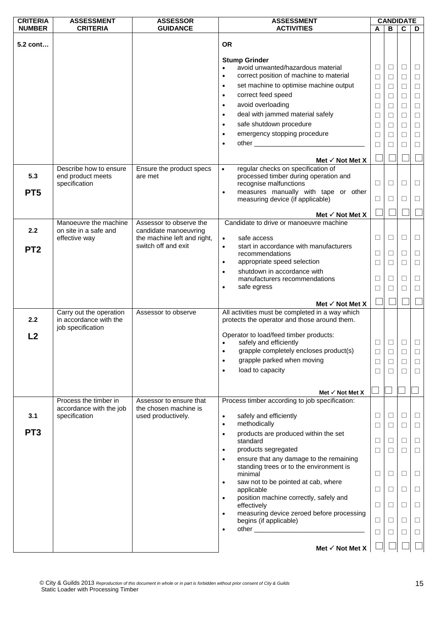| <b>CRITERIA</b> | <b>ASSESSMENT</b>                        | <b>ASSESSOR</b>                                  | <b>ASSESSMENT</b>                                                                                                                                                                                                                          |        | <b>CANDIDATE</b> |             |        |
|-----------------|------------------------------------------|--------------------------------------------------|--------------------------------------------------------------------------------------------------------------------------------------------------------------------------------------------------------------------------------------------|--------|------------------|-------------|--------|
| <b>NUMBER</b>   | <b>CRITERIA</b>                          | <b>GUIDANCE</b>                                  | <b>ACTIVITIES</b>                                                                                                                                                                                                                          | A      | B                | $\mathbf c$ | D      |
| 5.2 cont        |                                          |                                                  | <b>OR</b>                                                                                                                                                                                                                                  |        |                  |             |        |
|                 |                                          |                                                  | <b>Stump Grinder</b>                                                                                                                                                                                                                       |        |                  |             |        |
|                 |                                          |                                                  | avoid unwanted/hazardous material                                                                                                                                                                                                          | $\Box$ | $\Box$           | $\Box$      | Ц      |
|                 |                                          |                                                  | correct position of machine to material<br>$\bullet$                                                                                                                                                                                       | $\Box$ | $\Box$           | $\Box$      | $\Box$ |
|                 |                                          |                                                  | set machine to optimise machine output<br>$\bullet$                                                                                                                                                                                        | $\Box$ | □                | □           | $\Box$ |
|                 |                                          |                                                  | correct feed speed<br>$\bullet$                                                                                                                                                                                                            | $\Box$ | □                | $\Box$      | $\Box$ |
|                 |                                          |                                                  | avoid overloading<br>$\bullet$                                                                                                                                                                                                             | $\Box$ | □                | □           | $\Box$ |
|                 |                                          |                                                  | deal with jammed material safely<br>$\bullet$                                                                                                                                                                                              | $\Box$ | ⊔                | □           | $\Box$ |
|                 |                                          |                                                  | safe shutdown procedure<br>$\bullet$                                                                                                                                                                                                       | $\Box$ | □                | $\Box$      | $\Box$ |
|                 |                                          |                                                  | emergency stopping procedure<br>$\bullet$                                                                                                                                                                                                  | $\Box$ | $\Box$           | $\Box$      | $\Box$ |
|                 |                                          |                                                  | other and the state of the state of the state of the state of the state of the state of the state of the state of the state of the state of the state of the state of the state of the state of the state of the state of the<br>$\bullet$ | □      | Ш                | П           | $\Box$ |
|                 |                                          |                                                  |                                                                                                                                                                                                                                            |        |                  |             |        |
|                 | Describe how to ensure                   | Ensure the product specs                         | Met $\checkmark$ Not Met X<br>regular checks on specification of<br>$\bullet$                                                                                                                                                              |        |                  |             |        |
| 5.3             | end product meets<br>specification       | are met                                          | processed timber during operation and<br>recognise malfunctions                                                                                                                                                                            | $\Box$ | $\Box$           | $\Box$      | $\Box$ |
| PT <sub>5</sub> |                                          |                                                  | measures manually with tape or other<br>$\bullet$                                                                                                                                                                                          |        |                  |             |        |
|                 |                                          |                                                  | measuring device (if applicable)                                                                                                                                                                                                           | □      | $\Box$           | □           | $\Box$ |
|                 | Manoeuvre the machine                    |                                                  | Met $\checkmark$ Not Met X<br>Candidate to drive or manoeuvre machine                                                                                                                                                                      |        |                  |             |        |
| 2.2             | on site in a safe and                    | Assessor to observe the<br>candidate manoeuvring |                                                                                                                                                                                                                                            |        |                  |             |        |
|                 | effective way                            | the machine left and right,                      | safe access<br>$\bullet$                                                                                                                                                                                                                   | $\Box$ | □                | □           | □      |
| PT <sub>2</sub> |                                          | switch off and exit                              | start in accordance with manufacturers<br>$\bullet$                                                                                                                                                                                        |        |                  |             |        |
|                 |                                          |                                                  | recommendations<br>appropriate speed selection                                                                                                                                                                                             | $\Box$ | $\Box$           | $\Box$      | $\Box$ |
|                 |                                          |                                                  | $\bullet$<br>shutdown in accordance with                                                                                                                                                                                                   | □      | □                | П           | $\Box$ |
|                 |                                          |                                                  | $\bullet$<br>manufacturers recommendations                                                                                                                                                                                                 | □      | H                | □           | □      |
|                 |                                          |                                                  | safe egress<br>$\bullet$                                                                                                                                                                                                                   | □      | □                | $\Box$      | $\Box$ |
|                 |                                          |                                                  | Met $\checkmark$ Not Met X                                                                                                                                                                                                                 |        |                  |             |        |
|                 | Carry out the operation                  | Assessor to observe                              | All activities must be completed in a way which                                                                                                                                                                                            |        |                  |             |        |
| 2.2             | in accordance with the                   |                                                  | protects the operator and those around them.                                                                                                                                                                                               |        |                  |             |        |
|                 | job specification                        |                                                  | Operator to load/feed timber products:                                                                                                                                                                                                     |        |                  |             |        |
| L <sub>2</sub>  |                                          |                                                  | safely and efficiently<br>$\bullet$                                                                                                                                                                                                        | □      | □                | $\Box$      | $\Box$ |
|                 |                                          |                                                  | grapple completely encloses product(s)<br>$\bullet$                                                                                                                                                                                        | $\Box$ | L                | ⊔           | ⊔      |
|                 |                                          |                                                  | grapple parked when moving<br>$\bullet$                                                                                                                                                                                                    | $\Box$ | □                | $\Box$      | $\Box$ |
|                 |                                          |                                                  | load to capacity<br>$\bullet$                                                                                                                                                                                                              | □      | $\Box$           | □           | $\Box$ |
|                 |                                          |                                                  |                                                                                                                                                                                                                                            |        |                  |             |        |
|                 |                                          |                                                  | Met $\checkmark$ Not Met X                                                                                                                                                                                                                 |        |                  |             |        |
|                 | Process the timber in                    | Assessor to ensure that<br>the chosen machine is | Process timber according to job specification:                                                                                                                                                                                             |        |                  |             |        |
| 3.1             | accordance with the job<br>specification | used productively.                               | safely and efficiently<br>$\bullet$                                                                                                                                                                                                        | □      | ⊔                | □           | □      |
|                 |                                          |                                                  | methodically<br>$\bullet$                                                                                                                                                                                                                  | $\Box$ | $\Box$           | $\Box$      | $\Box$ |
| PT <sub>3</sub> |                                          |                                                  | products are produced within the set<br>$\bullet$                                                                                                                                                                                          |        |                  |             |        |
|                 |                                          |                                                  | standard                                                                                                                                                                                                                                   | $\Box$ | $\Box$           | $\Box$      | $\Box$ |
|                 |                                          |                                                  | products segregated<br>$\bullet$                                                                                                                                                                                                           | □      | П                | П           | $\Box$ |
|                 |                                          |                                                  | ensure that any damage to the remaining<br>$\bullet$<br>standing trees or to the environment is                                                                                                                                            |        |                  |             |        |
|                 |                                          |                                                  | minimal                                                                                                                                                                                                                                    | $\Box$ | $\Box$           | $\Box$      | $\Box$ |
|                 |                                          |                                                  | saw not to be pointed at cab, where<br>$\bullet$                                                                                                                                                                                           |        |                  |             |        |
|                 |                                          |                                                  | applicable<br>position machine correctly, safely and<br>$\bullet$                                                                                                                                                                          | $\Box$ | □                | $\Box$      | $\Box$ |
|                 |                                          |                                                  | effectively                                                                                                                                                                                                                                | $\Box$ | $\Box$           | $\Box$      | $\Box$ |
|                 |                                          |                                                  | measuring device zeroed before processing                                                                                                                                                                                                  |        |                  |             |        |
|                 |                                          |                                                  | begins (if applicable)<br>$\bullet$                                                                                                                                                                                                        | $\Box$ | □                | □           | □      |
|                 |                                          |                                                  |                                                                                                                                                                                                                                            | $\Box$ | L                | □           | $\Box$ |
|                 |                                          |                                                  | Met $\checkmark$ Not Met X                                                                                                                                                                                                                 |        |                  |             |        |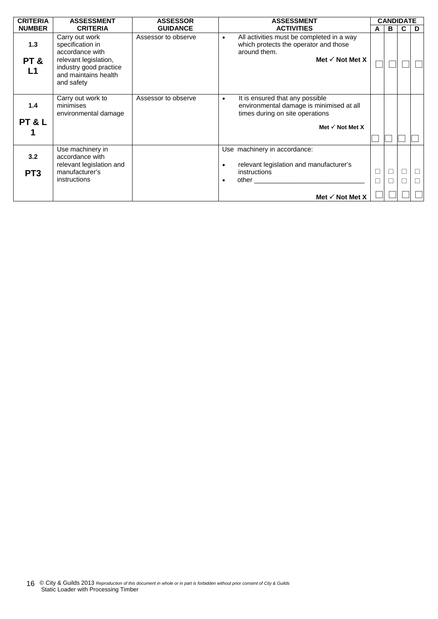| <b>CRITERIA</b>        | <b>ASSESSMENT</b>                                                                                                                              | <b>ASSESSOR</b>     | <b>ASSESSMENT</b>                                                                                                                                                                                                                                                                                                                                                                 |             | <b>CANDIDATE</b> |   |   |  |
|------------------------|------------------------------------------------------------------------------------------------------------------------------------------------|---------------------|-----------------------------------------------------------------------------------------------------------------------------------------------------------------------------------------------------------------------------------------------------------------------------------------------------------------------------------------------------------------------------------|-------------|------------------|---|---|--|
| <b>NUMBER</b>          | <b>CRITERIA</b>                                                                                                                                | <b>GUIDANCE</b>     | <b>ACTIVITIES</b>                                                                                                                                                                                                                                                                                                                                                                 | A           | в                | C | D |  |
| 1.3<br>PT&<br>L1       | Carry out work<br>specification in<br>accordance with<br>relevant legislation,<br>industry good practice<br>and maintains health<br>and safety | Assessor to observe | All activities must be completed in a way<br>$\bullet$<br>which protects the operator and those<br>around them.<br>Met $\checkmark$ Not Met X                                                                                                                                                                                                                                     |             |                  |   |   |  |
| 1.4<br>PT&L            | Carry out work to<br>minimises<br>environmental damage                                                                                         | Assessor to observe | It is ensured that any possible<br>$\bullet$<br>environmental damage is minimised at all<br>times during on site operations<br>Met $\checkmark$ Not Met X                                                                                                                                                                                                                         |             |                  |   |   |  |
| 3.2<br>PT <sub>3</sub> | Use machinery in<br>accordance with<br>relevant legislation and<br>manufacturer's<br>instructions                                              |                     | Use machinery in accordance:<br>relevant legislation and manufacturer's<br>$\bullet$<br>instructions<br>other the contract of the contract of the contract of the contract of the contract of the contract of the contract of the contract of the contract of the contract of the contract of the contract of the contract of the cont<br>$\bullet$<br>Met $\checkmark$ Not Met X | $\Box$<br>П |                  | Ш | Л |  |